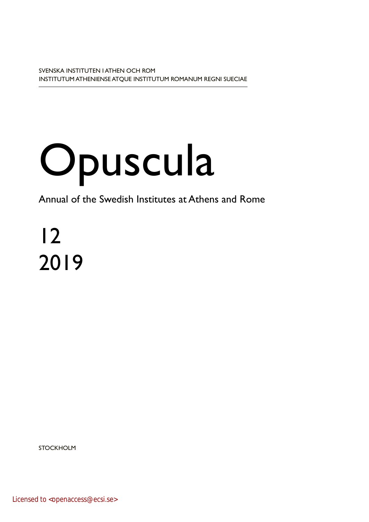# Opuscula

Annual of the Swedish Institutes at Athens and Rome

12 2019

**STOCKHOLM** 

Licensed to <openaccess@ecsi.se>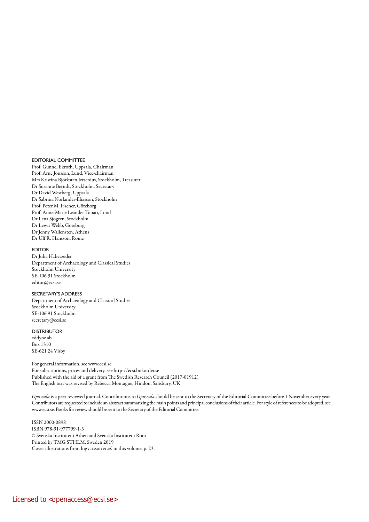#### EDITORIAL COMMITTEE

Prof. Gunnel Ekroth, Uppsala, Chairman Prof. Arne Jönsson, Lund, Vice-chairman Mrs Kristina Björksten Jersenius, Stockholm, Treasurer Dr Susanne Berndt, Stockholm, Secretary Dr David Westberg, Uppsala Dr Sabrina Norlander-Eliasson, Stockholm Prof. Peter M. Fischer, Göteborg Prof. Anne-Marie Leander Touati, Lund Dr Lena Sjögren, Stockholm Dr Lewis Webb, Göteborg Dr Jenny Wallensten, Athens Dr Ulf R. Hansson, Rome

#### EDITOR

Dr Julia Habetzeder Department of Archaeology and Classical Studies Stockholm University SE-106 91 Stockholm editor@ecsi.se

#### SECRETARY'S ADDRESS

Department of Archaeology and Classical Studies Stockholm University SE-106 91 Stockholm secretary@ecsi.se

#### DISTRIBUTOR

eddy.se ab Box 1310 SE-621 24 Visby

For general information, see www.ecsi.se For subscriptions, prices and delivery, see http://ecsi.bokorder.se Published with the aid of a grant from The Swedish Research Council (2017-01912) The English text was revised by Rebecca Montague, Hindon, Salisbury, UK

*Opuscula* is a peer reviewed journal. Contributions to *Opuscula* should be sent to the Secretary of the Editorial Committee before 1 November every year. Contributors are requested to include an abstract summarizing the main points and principal conclusions of their article. For style of references to be adopted, see www.ecsi.se. Books for review should be sent to the Secretary of the Editorial Committee.

ISSN 2000-0898 ISBN 978-91-977799-1-3 © Svenska Institutet i Athen and Svenska Institutet i Rom Printed by TMG STHLM, Sweden 2019 Cover illustrations from Ingvarsson *et al.* in this volume, p. 23.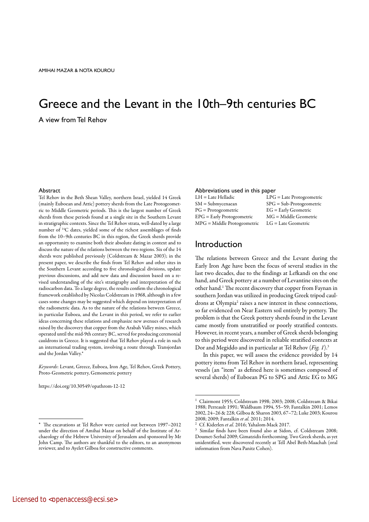# Greece and the Levant in the 10th–9th centuries BC A view from Tel Rehov

#### Abstract

Tel Rehov in the Beth Shean Valley, northern Israel, yielded 14 Greek (mainly Euboean and Attic) pottery sherds from the Late Protogeometric to Middle Geometric periods. This is the largest number of Greek sherds from these periods found at a single site in the Southern Levant in stratigraphic contexts. Since the Tel Rehov strata, well-dated by a large number of 14C dates, yielded some of the richest assemblages of finds from the 10–9th centuries BC in this region, the Greek sherds provide an opportunity to examine both their absolute dating in context and to discuss the nature of the relations between the two regions. Six of the 14 sherds were published previously (Coldstream & Mazar 2003); in the present paper, we describe the finds from Tel Rehov and other sites in the Southern Levant according to five chronological divisions, update previous discussions, and add new data and discussion based on a revised understanding of the site's stratigraphy and interpretation of the radiocarbon data. To a large degree, the results confirm the chronological framework established by Nicolas Coldstream in 1968, although in a few cases some changes may be suggested which depend on interpretation of the radiometric data. As to the nature of the relations between Greece, in particular Euboea, and the Levant in this period, we refer to earlier ideas concerning these relations and emphasize new avenues of research raised by the discovery that copper from the Arabah Valley mines, which operated until the mid-9th century BC, served for producing ceremonial cauldrons in Greece. It is suggested that Tel Rehov played a role in such an international trading system, involving a route through Transjordan and the Jordan Valley.\*

*Keywords*: Levant, Greece, Euboea, Iron Age, Tel Rehov, Greek Pottery, Proto-Geometric pottery, Gemometric pottery

https://doi.org/10.30549/opathrom-12-12

#### The excavations at Tel Rehov were carried out between 1997–2012 under the direction of Amihai Mazar on behalf of the Institute of Archaeology of the Hebrew University of Jerusalem and sponsored by Mr John Camp. The authors are thankful to the editors, to an anonymous reviewer, and to Ayelet Gilboa for constructive comments.

#### Abbreviations used in this paper

| LH = Late Helladic           | $LPG = Late$    |
|------------------------------|-----------------|
| SM = Submycenaean            | $SPG = Sub-$    |
| $PG =$ Protogeometric        | $EG = Early$    |
| $EPG =$ Early Protogeometric | $MG = Mid$      |
| MPG = Middle Protogeometric  | $LG =$ Late $Q$ |

Protogeometric Protogeometric Geometric dle Geometric .<br>Geometric

# Introduction

The relations between Greece and the Levant during the Early Iron Age have been the focus of several studies in the last two decades, due to the findings at Lefkandi on the one hand, and Greek pottery at a number of Levantine sites on the other hand.<sup>1</sup> The recent discovery that copper from Faynan in southern Jordan was utilized in producing Greek tripod cauldrons at Olympia<sup>2</sup> raises a new interest in these connections, so far evidenced on Near Eastern soil entirely by pottery. The problem is that the Greek pottery sherds found in the Levant came mostly from unstratified or poorly stratified contexts. However, in recent years, a number of Greek sherds belonging to this period were discovered in reliable stratified contexts at Dor and Megiddo and in particular at Tel Rehov (*Fig. 1*).3

In this paper, we will assess the evidence provided by 14 pottery items from Tel Rehov in northern Israel, representing vessels (an "item" as defined here is sometimes composed of several sherds) of Euboean PG to SPG and Attic EG to MG

<sup>1</sup> Clairmont 1955; Coldstream 1998; 2003; 2008; Coldstream & Bikai 1988; Perreault 1991; Waldbaum 1994, 55–59; Fantalkin 2001; Lemos 2002, 24–26 & 228; Gilboa & Sharon 2003, 67–72; Luke 2003; Kourou<br>2008; 2009; Fantalkin et al. 2011; 2014.

<sup>&</sup>lt;sup>2</sup> Cf. Kiderlen *et al.* 2016; Yahalom-Mack 2017.<br><sup>3</sup> Similar finds have been found also at Sidon, cf. Coldstream 2008; Doumet-Serhal 2009; Gimatzidis forthcoming. Two Greek sherds, as yet unidentified, were discovered recently at Tell Abel Beth-Maachah (oral information from Nava Panitz Cohen).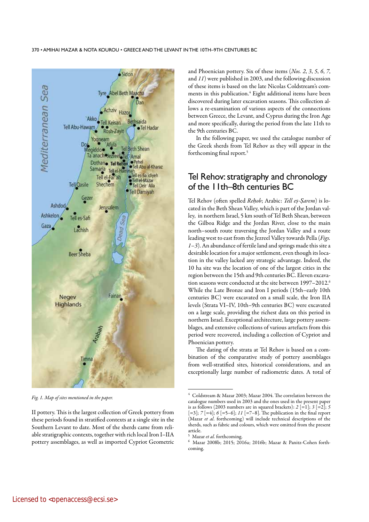

*Fig. 1. Map of sites mentioned in the paper.*

II pottery. This is the largest collection of Greek pottery from these periods found in stratified contexts at a single site in the Southern Levant to date. Most of the sherds came from reliable stratigraphic contexts, together with rich local Iron I–IIA pottery assemblages, as well as imported Cypriot Geometric

and Phoenician pottery. Six of these items (*Nos. 2*, *3*, *5*, *6*, *7*, and *11*) were published in 2003, and the following discussion of these items is based on the late Nicolas Coldstream's comments in this publication.4 Eight additional items have been discovered during later excavation seasons. This collection allows a re-examination of various aspects of the connections between Greece, the Levant, and Cyprus during the Iron Age and more specifically, during the period from the late 11th to the 9th centuries BC.

In the following paper, we used the catalogue number of the Greek sherds from Tel Rehov as they will appear in the forthcoming final report.5

# Tel Rehov: stratigraphy and chronology of the 11th–8th centuries BC

Tel Rehov (often spelled *Reḥob*; Arabic: *Tell eṣ-Ṣarem*) is located in the Beth Shean Valley, which is part of the Jordan valley, in northern Israel, 5 km south of Tel Beth Shean, between the Gilboa Ridge and the Jordan River, close to the main north–south route traversing the Jordan Valley and a route leading west to east from the Jezreel Valley towards Pella (*Figs. 1–3*). An abundance of fertile land and springs made this site a desirable location for a major settlement, even though its location in the valley lacked any strategic advantage. Indeed, the 10 ha site was the location of one of the largest cities in the region between the 15th and 9th centuries BC. Eleven excavation seasons were conducted at the site between 1997-2012.<sup>6</sup> While the Late Bronze and Iron I periods (15th–early 10th centuries BC) were excavated on a small scale, the Iron IIA levels (Strata VI–IV, 10th–9th centuries BC) were excavated on a large scale, providing the richest data on this period in northern Israel. Exceptional architecture, large pottery assemblages, and extensive collections of various artefacts from this period were recovered, including a collection of Cypriot and Phoenician pottery.

The dating of the strata at Tel Rehov is based on a combination of the comparative study of pottery assemblages from well-stratified sites, historical considerations, and an exceptionally large number of radiometric dates. A total of

 $4$  Coldstream & Mazar 2003; Mazar 2004. The correlation between the catalogue numbers used in 2003 and the ones used in the present paper is as follows (2003 numbers are in squared brackets): *2* [=1]; *3* [=2]; *5* [=3]; *7* [=4]; *6* [=5–6]; *11* [=7–8]. The publication in the final report (Mazar *et al*. forthcoming) will include technical descriptions of the sherds, such as fabric and colours, which were omitted from the present article.<br><sup>5</sup> Mazar *et al*. forthcoming.

<sup>&</sup>lt;sup>6</sup> Mazar 2008b; 2015; 2016a; 2016b; Mazar & Panitz-Cohen forthcoming.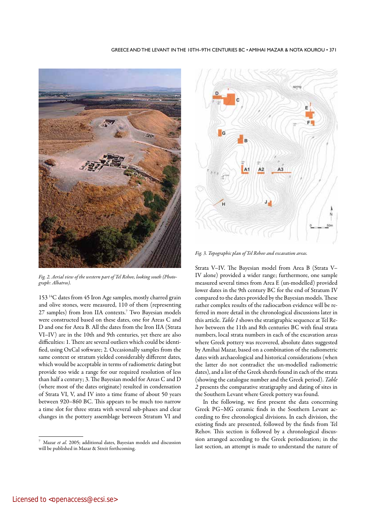#### GREECE AND THE LEVANT IN THE 10TH–9TH CENTURIES BC • AMIHAI MAZAR & NOTA KOUROU • 371



*Fig. 2. Aerial view of the western part of Tel Rehov, looking south (Photograph: Albatros).*

153 14C dates from 45 Iron Age samples, mostly charred grain and olive stones, were measured, 110 of them (representing 27 samples) from Iron IIA contexts.7 Two Bayesian models were constructed based on these dates, one for Areas C and D and one for Area B. All the dates from the Iron IIA (Strata VI–IV) are in the 10th and 9th centuries, yet there are also difficulties: 1. There are several outliers which could be identified, using OxCal software; 2. Occasionally samples from the same context or stratum yielded considerably different dates, which would be acceptable in terms of radiometric dating but provide too wide a range for our required resolution of less than half a century; 3. The Bayesian model for Areas C and D (where most of the dates originate) resulted in condensation of Strata VI, V, and IV into a time frame of about 50 years between 920–860 BC. This appears to be much too narrow a time slot for three strata with several sub-phases and clear changes in the pottery assemblage between Stratum VI and



*Fig. 3. Topographic plan of Tel Rehov and excavation areas.* 

Strata V–IV. The Bayesian model from Area B (Strata V– IV alone) provided a wider range; furthermore, one sample measured several times from Area E (un-modelled) provided lower dates in the 9th century BC for the end of Stratum IV compared to the dates provided by the Bayesian models. These rather complex results of the radiocarbon evidence will be referred in more detail in the chronological discussions later in this article. *Table 1* shows the stratigraphic sequence at Tel Rehov between the 11th and 8th centuries BC with final strata numbers, local strata numbers in each of the excavation areas where Greek pottery was recovered, absolute dates suggested by Amihai Mazar, based on a combination of the radiometric dates with archaeological and historical considerations (when the latter do not contradict the un-modelled radiometric dates), and a list of the Greek sherds found in each of the strata (showing the catalogue number and the Greek period). *Table 2* presents the comparative stratigraphy and dating of sites in the Southern Levant where Greek pottery was found.

In the following, we first present the data concerning Greek PG–MG ceramic finds in the Southern Levant according to five chronological divisions. In each division, the existing finds are presented, followed by the finds from Tel Rehov. This section is followed by a chronological discussion arranged according to the Greek periodization; in the last section, an attempt is made to understand the nature of

Mazar et al. 2005; additional dates, Bayesian models and discussion will be published in Mazar & Streit forthcoming.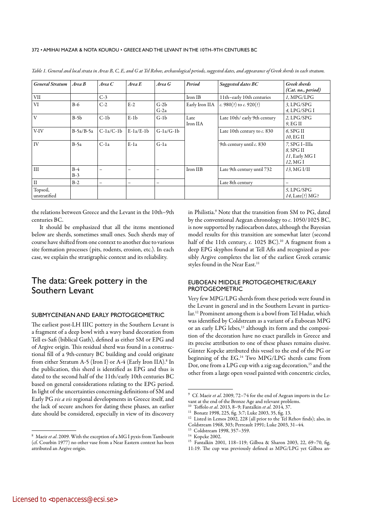| <b>General Stratum</b>   | Area B         | Area C      | Area E      | Area G           | Period                                   | Suggested dates BC           | Greek sherds<br>(Cat. no., period)                         |  |
|--------------------------|----------------|-------------|-------------|------------------|------------------------------------------|------------------------------|------------------------------------------------------------|--|
| <b>VII</b>               |                | $C-3$       |             |                  | Iron IB                                  | 11th-early 10th centuries    | I. MPG/LPG                                                 |  |
| VI                       | $B-6$          | $C-2$       | $E-2$       | $G-2b$<br>$G-2a$ | c. 980(?) to c. 920(?)<br>Early Iron IIA |                              | $3$ , LPG/SPG<br>4. LPG/SPGI                               |  |
| $\overline{V}$           | $B-5b$         | $C-1b$      | $E-1b$      | $G-1b$           | Late<br>Iron IIA                         | Late 10th/ early 9th century | $2$ , LPG/SPG<br>9. EG II                                  |  |
| V-IV                     | $B-5a/B-5a$    | $C-1a/C-1b$ | $E-1a/E-1b$ | $G-1a/G-1b$      | Late 10th century to c. 830              |                              | $6.$ SPG II<br>10, EG II                                   |  |
| IV                       | $B-5a$         | $C-1a$      | $E-1a$      | $G-1a$           |                                          | 9th century until c. 830     | 7, SPG I-IIIa<br>$8.$ SPG II<br>11, Early MG I<br>12, MG I |  |
| III                      | $B-4$<br>$B-3$ | -           | -           |                  | Iron IIB<br>Late 9th century until 732   |                              | 13, MG I/II                                                |  |
| $\mathbf{I}$             | $B-2$          | -           | -           | -                |                                          | Late 8th century             | -                                                          |  |
| Topsoil,<br>unstratified |                |             |             |                  |                                          |                              | 5, LPG/SPG<br>14, Late(?) MG?                              |  |

*Table 1. General and local strata in Areas B, C, E, and G at Tel Rehov, archaeological periods, suggested dates, and appearance of Greek sherds in each stratum.*

the relations between Greece and the Levant in the 10th–9th centuries BC.

It should be emphasized that all the items mentioned below are sherds, sometimes small ones. Such sherds may of course have shifted from one context to another due to various site formation processes (pits, rodents, erosion, etc.). In each case, we explain the stratigraphic context and its reliability.

# The data: Greek pottery in the Southern Levant

## SUBMYCENEAN AND EARLY PROTOGEOMETRIC

The earliest post-LH IIIC pottery in the Southern Levant is a fragment of a deep bowl with a wavy band decoration from Tell es-Safi (biblical Gath), defined as either SM or EPG and of Argive origin. This residual sherd was found in a constructional fill of a 9th-century BC building and could originate from either Stratum A-5 (Iron I) or A-4 (Early Iron IIA).<sup>8</sup> In the publication, this sherd is identified as EPG and thus is dated to the second half of the 11th/early 10th centuries BC based on general considerations relating to the EPG period. In light of the uncertainties concerning definitions of SM and Early PG *vis a vis* regional developments in Greece itself, and the lack of secure anchors for dating these phases, an earlier date should be considered, especially in view of its discovery

in Philistia.9 Note that the transition from SM to PG, dated by the conventional Aegean chronology to *c*. 1050/1025 BC, is now supported by radiocarbon dates, although the Bayesian model results for this transition are somewhat later (second half of the 11th century, *c.* 1025 BC).<sup>10</sup> A fragment from a deep EPG skyphos found at Tell Afis and recognized as possibly Argive completes the list of the earliest Greek ceramic styles found in the Near East.<sup>11</sup>

# EUBOEAN MIDDLE PROTOGEOMETRIC/EARLY PROTOGEOMETRIC

Very few MPG/LPG sherds from these periods were found in the Levant in general and in the Southern Levant in particular.12 Prominent among them is a bowl from Tel Hadar, which was identified by Coldstream as a variant of a Euboean MPG or an early LPG lebes,<sup>13</sup> although its form and the composition of the decoration have no exact parallels in Greece and its precise attribution to one of these phases remains elusive. Günter Kopcke attributed this vessel to the end of the PG or beginning of the EG.14 Two MPG/LPG sherds came from Dor, one from a LPG cup with a zig-zag decoration,<sup>15</sup> and the other from a large open vessel painted with concentric circles,

<sup>8</sup> Maeir *et al*. 2009. With the exception of a MG I pyxis from Tambourit (cf. Courbin 1977) no other vase from a Near Eastern context has been attributed an Argive origin.

<sup>9</sup> Cf. Maeir *et al*. 2009, 72–74 for the end of Aegean imports in the Levant at the end of the Bronze Age and relevant problems.<br><sup>10</sup> Toffolo *et al.* 2013, 8–9; Fantalkin *et al.* 2014, 37.

<sup>&</sup>lt;sup>11</sup> Bonatz 1998, 225, fig. 3:7; Luke 2003, 35, fig. 13.<br><sup>12</sup> Listed in *Lemos* 2002, 228 (all prior to the Tel R

Listed in Lemos 2002, 228 (all prior to the Tel Rehov finds); also, in

Coldstream 1968, 303; Perreault 1991; Luke 2003, 31–44.

Coldstream 1998, 357-359.

<sup>14</sup> Kopcke 2002.

<sup>15</sup> Fantalkin 2001, 118–119; Gilboa & Sharon 2003, 22, 69–70, fig.

<sup>11:19.</sup> The cup was previously defined as MPG/LPG yet Gilboa an-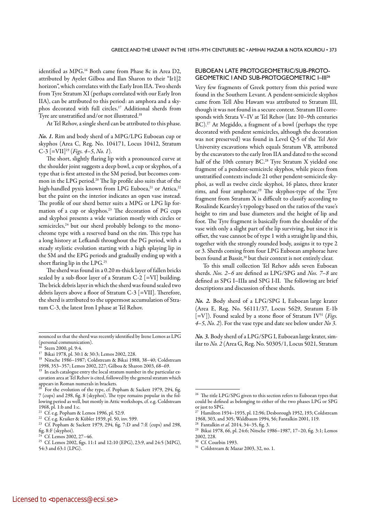identified as MPG.16 Both came from Phase 8c in Area D2, attributed by Ayelet Gilboa and Ilan Sharon to their "Ir1|2 horizon", which correlates with the Early Iron IIA. Two sherds from Tyre Stratum XI (perhaps correlated with our Early Iron IIA), can be attributed to this period: an amphora and a skyphos decorated with full circles.17 Additional sherds from Tyre are unstratified and/or not illustrated.18

At Tel Rehov, a single sherd can be attributed to this phase.

*No. 1.* Rim and body sherd of a MPG/LPG Euboean cup or skyphos (Area C, Reg. No. 104171, Locus 10412, Stratum C-3 [=VII]19 (*Figs. 4–5*, *No. 1*).

The short, slightly flaring lip with a pronounced curve at the shoulder joint suggests a deep bowl, a cup or skyphos, of a type that is first attested in the SM period, but becomes common in the LPG period.20 The lip profile also suits that of the high-handled pyxis known from LPG Euboea,<sup>21</sup> or Attica,<sup>22</sup> but the paint on the interior indicates an open vase instead. The profile of our sherd better suits a MPG or LPG lip formation of a cup or skyphos.<sup>23</sup> The decoration of PG cups and skyphoi presents a wide variation mostly with circles or semicircles,<sup>24</sup> but our sherd probably belongs to the monochrome type with a reserved band on the rim. This type has a long history at Lefkandi throughout the PG period, with a steady stylistic evolution starting with a high splaying lip in the SM and the EPG periods and gradually ending up with a short flaring lip in the LPG.25

The sherd was found in a 0.20 m-thick layer of fallen bricks sealed by a sub-floor layer of a Stratum C-2  $[=VII]$  building. The brick debris layer in which the sherd was found sealed two debris layers above a floor of Stratum C-3 [=VII]. Therefore, the sherd is attributed to the uppermost accumulation of Stratum C-3, the latest Iron I phase at Tel Rehov.

### EUBOEAN LATE PROTOGEOMETRIC/SUB-PROTO-GEOMETRIC I AND SUB-PROTOGEOMETRIC I–III26

Very few fragments of Greek pottery from this period were found in the Southern Levant. A pendent-semicircle skyphos came from Tell Abu Hawam was attributed to Stratum III, though it was not found in a secure context. Stratum III corresponds with Strata V–IV at Tel Rehov (late 10–9th centuries BC).<sup>27</sup> At Megiddo, a fragment of a bowl (perhaps the type decorated with pendent semicircles, although the decoration was not preserved) was found in Level Q-5 of the Tel Aviv University excavations which equals Stratum VB, attributed by the excavators to the early Iron IIA and dated to the second half of the 10th century BC.<sup>28</sup> Tyre Stratum X yielded one fragment of a pendent-semicircle skyphos, while pieces from unstratified contexts include 21 other pendent-semicircle skyphoi, as well as twelve circle skyphoi, 16 plates, three krater rims, and four amphorae.29 The skyphos*-*type of the Tyre fragment from Stratum X is difficult to classify according to Rosalinde Kearsley's typology based on the ratios of the vase's height to rim and base diameters and the height of lip and foot. The Tyre fragment is basically from the shoulder of the vase with only a slight part of the lip surviving, but since it is offset, the vase cannot be of type 1 with a straight lip and this, together with the strongly rounded body, assigns it to type 2 or 3. Sherds coming from four LPG Euboean amphorae have been found at Bassit,<sup>30</sup> but their context is not entirely clear.

To this small collection Tel Rehov adds seven Euboean sherds. *Nos. 2–6* are defined as LPG/SPG and *Nos. 7–8* are defined as SPG I–IIIa and SPG I-II. The following are brief descriptions and discussion of these sherds.

*No. 2.* Body sherd of a LPG/SPG I, Euboean large krater (Area E, Reg. No. 56111/37, Locus 5629, Stratum E-1b [=V]). Found sealed by a stone floor of Stratum IV<sup>31</sup> (*Figs. 4–5*, *No. 2*). For the vase type and date see below under *No 3*.

*No. 3.* Body sherd of a LPG/SPG I, Euboeanlarge krater, similar to *No. 2* (Area G, Reg. No. 50305/1, Locus 5021, Stratum

nounced us that the sherd was recently identified by Irene Lemos as LPG (personal communication).

Stern 2000, pl. 9:4.

<sup>17</sup> Bikai 1978, pl. 30:1 & 30:3; Lemos 2002, 228.

<sup>18</sup> Nitsche 1986–1987; Coldstream & Bikai 1988, 38–40; Coldstream 1998, 353–357; Lemos 2002, 227; Gilboa & Sharon 2003, 68–69.

 $19 \text{ In each catalogue entry the local stratum number in the particular ex-}$ cavation area at Tel Rehov is cited, followed by the general stratum which appears in Roman numerals in brackets.

For the evolution of the type, cf. Popham & Sackett 1979, 294, fig. 7 (cups) and 298, fig. 8 (skyphoi). The type remains popular in the following period as well, but mostly in Attic workshops, cf. e.g. Coldstream 1968, pl. 1:b and 1:c.

<sup>&</sup>lt;sup>21</sup> Cf. e.g. Popham & Lemos 1996, pl. 52:9.

<sup>22</sup> Cf. e.g. Kraiker & Kübler 1939, pl. 50, inv. 599.

<sup>23</sup> Cf. Popham & Sackett 1979, 294, fig. 7:D and 7:E (cups) and 298, fig. 8:F (skyphoi).

Cf. Lemos 2002, 27-46.

<sup>25</sup> Cf. Lemos 2002, figs. 11:1 and 12:10 (EPG), 23:9, and 24:5 (MPG), 54:3 and 63:1 (LPG).

<sup>&</sup>lt;sup>26</sup> The title LPG/SPG given to this section refers to Euboean types that could be defined as belonging to either of the two phases LPG or SPG or just to SPG.

<sup>,&</sup>lt;br>Hamilton 1934–1935, pl. 12:96; Desborough 1952, 193; Coldstream 1968, 303, and 305; Waldbaum 1994, 56; Fantalkin 2001, 119.<br><sup>28</sup> Fantalkin *et al.* 2014, 34–35, fig. 3.

<sup>&</sup>lt;sup>29</sup> Bikai 1978, 66, pl. 24:6; Nitsche 1986–1987, 17–20, fig. 3:1; Lemos 2002, 228.

Cf. Courbin 1993.

<sup>31</sup> Coldstream & Mazar 2003, 32, no. 1.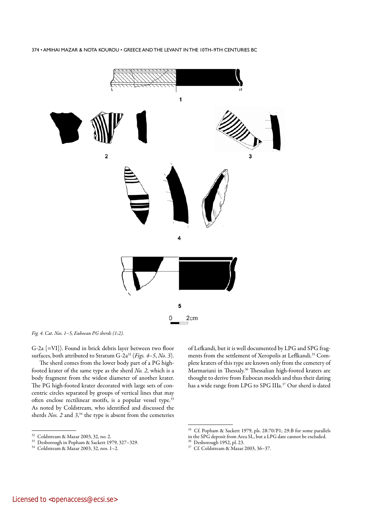

*Fig. 4. Cat. Nos. 1–5, Euboean PG sherds (1:2).* 

G-2a [=VI]). Found in brick debris layer between two floor surfaces, both attributed to Stratum G-2a32 (*Figs. 4–5*, *No. 3*).

The sherd comes from the lower body part of a PG highfooted krater of the same type as the sherd *No. 2*, which is a body fragment from the widest diameter of another krater. The PG high-footed krater decorated with large sets of concentric circles separated by groups of vertical lines that may often enclose rectilinear motifs, is a popular vessel type.<sup>33</sup> As noted by Coldstream, who identified and discussed the sherds *Nos. 2* and *3*, 34 the type is absent from the cemeteries

<sup>32</sup> Coldstream & Mazar 2003, 32, no. 2.<br><sup>33</sup> Depharaugh in Bopham & Sockett 19

of Lefkandi, but it is well documented by LPG and SPG fragments from the settlement of Xeropolis at Leflkandi.<sup>35</sup> Complete kraters of this type are known only from the cemetery of Marmariani in Thessaly.36 Thessalian high-footed kraters are thought to derive from Euboean models and thus their dating has a wide range from LPG to SPG IIIa.37 Our sherd is dated

<sup>33</sup> Desborough in Popham & Sackett 1979, 327–329.

<sup>34</sup> Coldstream & Mazar 2003, 32, nos. 1–2.

<sup>35</sup> Cf. Popham & Sackett 1979, pls. 28:70/P1; 29:B for some parallels in the SPG deposit from Area SL, but a LPG date cannot be excluded.

Desborough 1952, pl. 23.

<sup>37</sup> Cf. Coldstream & Mazar 2003, 36–37.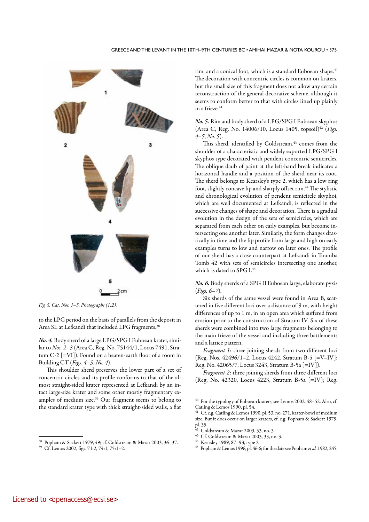

*Fig. 5. Cat. Nos. 1–5, Photographs (1:2).*

to the LPG period on the basis of parallels from the deposit in Area SL at Lefkandi that included LPG fragments.<sup>38</sup>

*No. 4.* Body sherd of a large LPG/SPG I Euboean krater, similar to *Nos. 2–3* (Area C, Reg. No. 75144/1, Locus 7491, Stratum C-2 [=VI]). Found on a beaten-earth floor of a room in Building CT (*Figs. 4–5*, *No. 4*).

This shoulder sherd preserves the lower part of a set of concentric circles and its profile conforms to that of the almost straight-sided krater represented at Lefkandi by an intact large-size krater and some other mostly fragmentary examples of medium size.39 Our fragment seems to belong to the standard krater type with thick straight-sided walls, a flat rim, and a conical foot, which is a standard Euboean shape.<sup>40</sup> The decoration with concentric circles is common on kraters, but the small size of this fragment does not allow any certain reconstruction of the general decorative scheme, although it seems to conform better to that with circles lined up plainly in a frieze.<sup>41</sup>

*No. 5.* Rim and body sherd of a LPG/SPG I Euboean skyphos (Area C, Reg. No. 14006/10, Locus 1405, topsoil)<sup>42</sup> (*Figs. 4–5*, *No. 5*).

This sherd, identified by Coldstream,<sup>43</sup> comes from the shoulder of a characteristic and widely exported LPG/SPG I skyphos type decorated with pendent concentric semicircles. The oblique daub of paint at the left-hand break indicates a horizontal handle and a position of the sherd near its root. The sherd belongs to Kearsley's type 2, which has a low ring foot, slightly concave lip and sharply offset rim.<sup>44</sup> The stylistic and chronological evolution of pendent semicircle skyphoi, which are well documented at Lefkandi, is reflected in the successive changes of shape and decoration. There is a gradual evolution in the design of the sets of semicircles, which are separated from each other on early examples, but become intersecting one another later. Similarly, the form changes drastically in time and the lip profile from large and high on early examples turns to low and narrow on later ones. The profile of our sherd has a close counterpart at Lefkandi in Toumba Tomb 42 with sets of semicircles intersecting one another, which is dated to SPG I.<sup>45</sup>

*No. 6.* Body sherds of a SPG II Euboean large, elaborate pyxis (*Figs. 6–7*).

Six sherds of the same vessel were found in Area B, scattered in five different loci over a distance of 9 m, with height differences of up to 1 m, in an open area which suffered from erosion prior to the construction of Stratum IV. Six of these sherds were combined into two large fragments belonging to the main frieze of the vessel and including three battlements and a lattice pattern.

*Fragment 1*: three joining sherds from two different loci (Reg. Nos. 42496/1–2, Locus 4242, Stratum B-5 [=V–IV]; Reg. No. 42065/7, Locus 3243, Stratum B-5a [=IV]).

*Fragment 2*: three joining sherds from three different loci (Reg. No. 42320, Locus 4223, Stratum B-5a [=IV]; Reg.

<sup>38</sup> Popham & Sackett 1979, 49; cf. Coldstream & Mazar 2003, 36–37.

<sup>39</sup> Cf. Lemos 2002, figs. 71:2, 74:1, 75:1–2.

<sup>40</sup> For the typology of Euboean kraters, see Lemos 2002, 48–52. Also, cf. Catling & Lemos 1990, pl. 54.

Cf. e.g. Catling & Lemos 1990, pl. 53, no. 271, krater-bowl of medium size. But it does occur on larger kraters, cf. e.g. Popham & Sackett 1979, pl. 35.

<sup>42</sup> Coldstream & Mazar 2003, 33, no. 3.

<sup>43</sup> Cf. Coldstream & Mazar 2003, 33, no. 3.

<sup>44</sup> Kearsley 1989, 87–93, type 2.

<sup>45</sup> Popham & Lemos 1996, pl. 46:6; for the date see Popham *et al.* 1982, 245.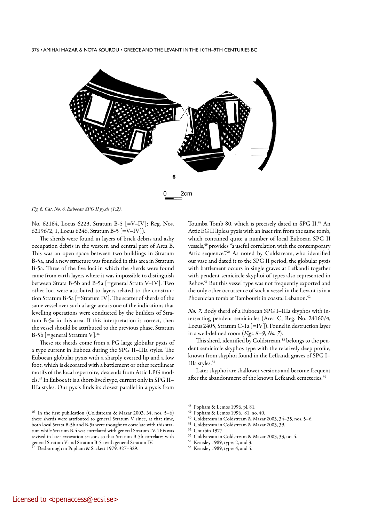

*Fig. 6. Cat. No. 6, Euboean SPG II pyxis (1:2).* 

No. 62164, Locus 6223, Stratum B-5 [=V–IV]; Reg. Nos. 62196/2, 1, Locus 6246, Stratum B-5 [=V–IV]).

The sherds were found in layers of brick debris and ashy occupation debris in the western and central part of Area B. This was an open space between two buildings in Stratum B-5a, and a new structure was founded in this area in Stratum B-5a. Three of the five loci in which the sherds were found came from earth layers where it was impossible to distinguish between Strata B-5b and B-5a [=general Strata V–IV]. Two other loci were attributed to layers related to the construction Stratum B-5a [=Stratum IV]. The scatter of sherds of the same vessel over such a large area is one of the indications that levelling operations were conducted by the builders of Stratum B-5a in this area. If this interpretation is correct, then the vessel should be attributed to the previous phase, Stratum B-5b [=general Stratum V].46

These six sherds come from a PG large globular pyxis of a type current in Euboea during the SPG II–IIIa styles. The Euboean globular pyxis with a sharply everted lip and a low foot, which is decorated with a battlement or other rectilinear motifs of the local repertoire, descends from Attic LPG models.47 In Euboea it is a short-lived type, current only in SPG II– IIIa styles. Our pyxis finds its closest parallel in a pyxis from

<sup>46</sup> In the first publication (Coldstream & Mazar 2003, 34, nos. 5–6) these sherds were attributed to general Stratum V since, at that time, both local Strata B-5b and B-5a were thought to correlate with this stratum while Stratum B-4 was correlated with general Stratum IV. This was revised in later excavation seasons so that Stratum B-5b correlates with general Stratum V and Stratum B-5a with general Stratum IV.

Toumba Tomb 80, which is precisely dated in SPG II.<sup>48</sup> An Attic EG II lipless pyxis with an inset rim from the same tomb, which contained quite a number of local Euboean SPG II vessels,49 provides *"*a useful correlation with the contemporary Attic sequence".<sup>50</sup> As noted by Coldstream, who identified our vase and dated it to the SPG II period, the globular pyxis with battlement occurs in single graves at Lefkandi together with pendent semicircle skyphoi of types also represented in Rehov.51 But this vessel type was not frequently exported and the only other occurrence of such a vessel in the Levant is in a Phoenician tomb at Tambourit in coastal Lebanon.<sup>52</sup>

*No. 7.* Body sherd of a Euboean SPG I–IIIa skyphos with intersecting pendent semicircles (Area C, Reg. No. 24160/4, Locus 2405, Stratum C-1a [=IV]). Found in destruction layer in a well-defined room (*Figs. 8–9*, *No. 7*).

This sherd, identified by Coldstream,<sup>53</sup> belongs to the pendent semicircle skyphos type with the relatively deep profile, known from skyphoi found in the Lefkandi graves of SPG I– IIIa styles.54

Later skyphoi are shallower versions and become frequent after the abandonment of the known Lefkandi cemeteries.<sup>55</sup>

- Kearsley 1989, types 2, and 3.
- <sup>55</sup> Kearsley 1989, types 4, and 5.

<sup>47</sup> Desborough in Popham & Sackett 1979, 327–329.

 $^{48}$  Popham & Lemos 1996, pl. 81.

Popham & Lemos 1996, 81, no. 40.

<sup>50</sup> Coldstream in Coldstream & Mazar 2003, 34–35, nos. 5–6.

<sup>51</sup> Coldstream in Coldstream & Mazar 2003, 39.

<sup>52</sup> Courbin 1977.

 $^{53}$  Coldstream in Coldstream & Mazar 2003, 33, no. 4.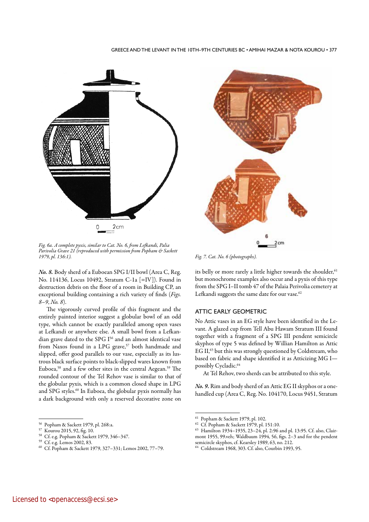#### GREECE AND THE LEVANT IN THE 10TH–9TH CENTURIES BC • AMIHAI MAZAR & NOTA KOUROU • 377



*Fig. 6a. A complete pyxis, similar to Cat. No. 6, from Lefkandi, Palia Parivolia Grave 21 (reproduced with permission from Popham & Sackett* 

*No. 8.* Body sherd of a Euboean SPG I/II bowl (Area C, Reg. No. 114136, Locus 10492, Stratum C-1a [=IV]). Found in destruction debris on the floor of a room in Building CP, an exceptional building containing a rich variety of finds (*Figs. 8–9*, *No. 8*).

The vigorously curved profile of this fragment and the entirely painted interior suggest a globular bowl of an odd type, which cannot be exactly paralleled among open vases at Lefkandi or anywhere else. A small bowl from a Lefkandian grave dated to the SPG I<sup>56</sup> and an almost identical vase from Naxos found in a LPG grave,<sup>57</sup> both handmade and slipped, offer good parallels to our vase, especially as its lustrous black surface points to black-slipped wares known from Euboea,<sup>58</sup> and a few other sites in the central Aegean.<sup>59</sup> The rounded contour of the Tel Rehov vase is similar to that of the globular pyxis, which is a common closed shape in LPG and SPG styles.<sup>60</sup> In Euboea, the globular pyxis normally has a dark background with only a reserved decorative zone on



*Fig. 7. Cat. No. 6 (photographs).* 

its belly or more rarely a little higher towards the shoulder,<sup>61</sup> but monochrome examples also occur and a pyxis of this type from the SPG I–II tomb 47 of the Palaia Perivolia cemetery at Lefkandi suggests the same date for our vase.<sup>62</sup>

## ATTIC EARLY GEOMETRIC

No Attic vases in an EG style have been identified in the Levant. A glazed cup from Tell Abu Hawam Stratum III found together with a fragment of a SPG III pendent semicircle skyphos of type 5 was defined by Willian Hamilton as Attic EG II,<sup>63</sup> but this was strongly questioned by Coldstream, who based on fabric and shape identified it as Atticizing MG I possibly Cycladic.<sup>64</sup>

At Tel Rehov, two sherds can be attributed to this style.

*No. 9.* Rim and body sherd of an Attic EG II skyphos or a onehandled cup (Area C, Reg. No. 104170, Locus 9451, Stratum

<sup>56</sup> Popham & Sackett 1979, pl. 268:a.

<sup>57</sup> Kourou 2015, 92, fig. 10.

<sup>&</sup>lt;sup>58</sup> Cf. e.g. Popham & Sackett 1979, 346–347.

Cf. e.g. Lemos 2002, 83.

<sup>60</sup> Cf. Popham & Sackett 1979, 327–331; Lemos 2002, 77–79.

<sup>&</sup>lt;sup>61</sup> Popham & Sackett 1979, pl. 102.<br><sup>62</sup> Cf. Bankara & Sackett 1979, pl. 1

Cf. Popham & Sackett 1979, pl. 151:10.

<sup>63</sup> Hamilton 1934–1935, 23–24, pl. 2:96 and pl. 13:95. Cf. also, Clairmont 1955, 99.veh; Waldbaum 1994, 56, figs. 2–3 and for the pendent semicircle skyphos, cf. Kearsley 1989, 63, no. 212.

<sup>64</sup> Coldstream 1968, 303. Cf. also, Courbin 1993, 95.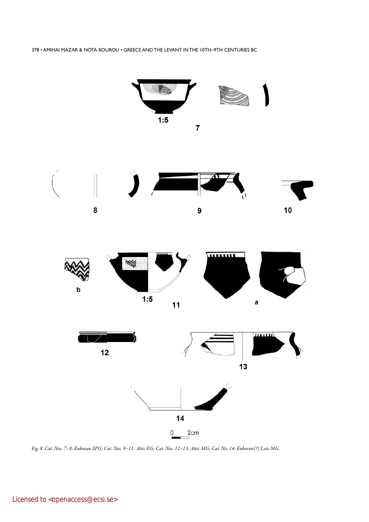







*Fig. 8. Cat. Nos. 7–8: Euboean SPG; Cat. Nos. 9–11: Attic EG; Cat. Nos. 12–13: Attic MG; Cat. No. 14: Euboean(?) Late MG.*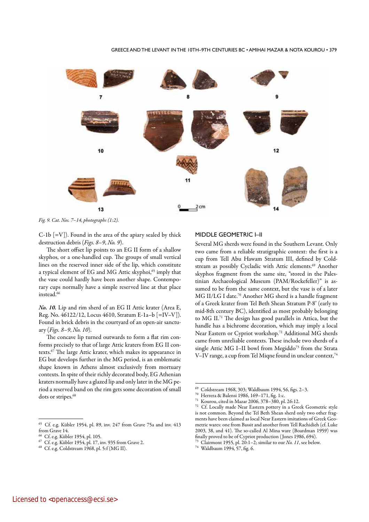

*Fig. 9. Cat. Nos. 7–14, photographs (1:2).*

 $C-1b$   $[=V]$ ). Found in the area of the apiary sealed by thick destruction debris (*Figs. 8–9*, *No. 9*).

The short offset lip points to an EG II form of a shallow skyphos, or a one-handled cup. The groups of small vertical lines on the reserved inner side of the lip, which constitute a typical element of EG and MG Attic skyphoi,<sup>65</sup> imply that the vase could hardly have been another shape. Contemporary cups normally have a simple reserved line at that place instead.<sup>66</sup>

*No. 10.* Lip and rim sherd of an EG II Attic krater (Area E, Reg. No. 46122/12, Locus 4610, Stratum E-1a–b [=IV–V]). Found in brick debris in the courtyard of an open-air sanctuary (*Figs. 8–9*, *No. 10*).

The concave lip turned outwards to form a flat rim conforms precisely to that of large Attic kraters from EG II contexts.67 The large Attic krater, which makes its appearance in EG but develops further in the MG period, is an emblematic shape known in Athens almost exclusively from mortuary contexts. In spite of their richly decorated body, EG Athenian kraters normally have a glazed lip and only later in the MG period a reserved band on the rim gets some decoration of small dots or stripes.<sup>68</sup>

#### MIDDLE GEOMETRIC I–II

Several MG sherds were found in the Southern Levant. Only two came from a reliable stratigraphic context: the first is a cup from Tell Abu Hawam Stratum III, defined by Coldstream as possibly Cycladic with Attic elements.<sup>69</sup> Another skyphos fragment from the same site, "stored in the Palestinian Archaeological Museum (PAM/Rockefeller)" is assumed to be from the same context, but the vase is of a later MG II/LG I date.70 Another MG sherd is a handle fragment of a Greek krater from Tel Beth Shean Stratum P-8' (early to mid-8th century BC), identified as most probably belonging to MG II.71 The design has good parallels in Attica, but the handle has a bichrome decoration, which may imply a local Near Eastern or Cypriot workshop.72 Additional MG sherds came from unreliable contexts. These include two sherds of a single Attic MG I–II bowl from Megiddo<sup>73</sup> from the Strata V–IV range, a cup from Tel Miqne found in unclear context,74

<sup>65</sup> Cf. e.g. Kübler 1954, pl. 89, inv. 247 from Grave 75a and inv. 413 from Grave 14.

<sup>&</sup>lt;sup>66</sup> Cf. e.g. Kübler 1954, pl. 105.

 $^{67}$  Cf. e.g. Kübler 1954, pl. 17, inv. 935 from Grave 2.  $^{68}$  Cf. e.g. Coldstream 1968, pl. 5:f (MG II).

<sup>69</sup> Coldstream 1968, 303; Waldbaum 1994, 56, figs. 2–3.<br><sup>70</sup> Herrera & Balensi 1986, 169–171, fig. 1:c.

<sup>&</sup>lt;sup>71</sup> Kourou, cited in Mazar 2006, 378–380, pl. 26:12.<br><sup>72</sup> Cf. Locally made Near Eastern pottery in a Cro

Cf. Locally made Near Eastern pottery in a Greek Geometric style is not common. Beyond the Tel Beth Shean sherd only two other fragments have been claimed as local Near Eastern imitations of Greek Geometric wares: one from Bassit and another from Tell Rachidieh (cf. Luke 2003, 38, and 41). The so-called Al Mina ware (Boardman 1959) was finally proved to be of Cypriot production ( Jones 1986, 694).

<sup>73</sup> Clairmont 1955, pl. 20:1–2; similar to our *No. 11*, see below. <sup>74</sup> Waldbaum 1994, 57, fig. 6.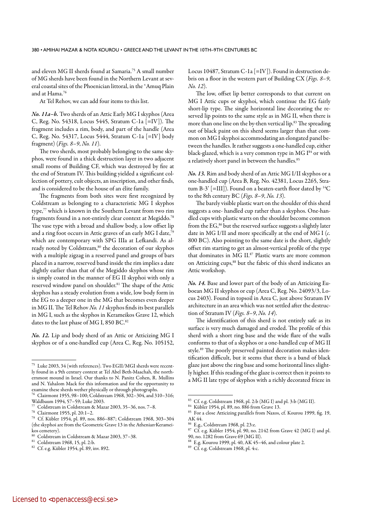and eleven MG II sherds found at Samaria.75 A small number of MG sherds have been found in the Northern Levant at several coastal sites of the Phoenician littoral, in the ʻAmuq Plain and at Hama.76

At Tel Rehov, we can add four items to this list.

*No. 11a–b.* Two sherds of an Attic Early MG I skyphos (Area C, Reg. No. 54318, Locus 5445, Stratum C-1a [=IV]). The fragment includes a rim, body, and part of the handle (Area C, Reg. No. 54317, Locus 5444, Stratum C-1a [=IV] body fragment) (*Figs. 8–9*, *No. 11*).

The two sherds, most probably belonging to the same skyphos, were found in a thick destruction layer in two adjacent small rooms of Building CF, which was destroyed by fire at the end of Stratum IV. This building yielded a significant collection of pottery, cult objects, an inscription, and other finds, and is considered to be the house of an élite family.

The fragments from both sites were first recognized by Coldstream as belonging to a characteristic MG I skyphos type,<sup>77</sup> which is known in the Southern Levant from two rim fragments found in a not-entirely clear context at Megiddo.78 The vase type with a broad and shallow body, a low offset lip and a ring foot occurs in Attic graves of an early MG I date,<sup>75</sup> which are contemporary with SPG IIIa at Lefkandi. As already noted by Coldstream,<sup>80</sup> the decoration of our skyphos with a multiple zigzag in a reserved panel and groups of bars placed in a narrow, reserved band inside the rim implies a date slightly earlier than that of the Megiddo skyphos whose rim is simply coated in the manner of EG II skyphoi with only a reserved window panel on shoulder.<sup>81</sup> The shape of the Attic skyphos has a steady evolution from a wide, low body form in the EG to a deeper one in the MG that becomes even deeper in MG II. The Tel Rehov *No. 11* skyphos finds its best parallels in MG I, such as the skyphos in Kerameikos Grave 12, which dates to the last phase of MG I, 850 BC.82

*No. 12.* Lip and body sherd of an Attic or Atticizing MG I skyphos or of a one-handled cup (Area C, Reg. No. 105152,

Locus 10487, Stratum C-1a [=IV]). Found in destruction debris on a floor in the western part of Building CX (*Figs. 8–9*, *No. 12*).

The low, offset lip better corresponds to that current on MG I Attic cups or skyphoi, which continue the EG fairly short-lip type. The single horizontal line decorating the reserved lip points to the same style as in MG II, when there is more than one line on the by-then vertical lip.<sup>83</sup> The spreading out of black paint on this sherd seems larger than that common on MG I skyphoi accommodating an elongated panel between the handles. It rather suggests a one-handled cup, either black-glazed, which is a very common type in MG I<sup>84</sup> or with a relatively short panel in between the handles.<sup>85</sup>

*No. 13.* Rim and body sherd of an Attic MG I/II skyphos or a one-handled cup (Area B, Reg. No. 42381, Locus 2265, Stratum B-3' [=III]). Found on a beaten-earth floor dated by  ${}^{14}C$ to the 8th century BC (*Figs. 8–9*, *No. 13*).

The barely visible plastic wart on the shoulder of this sherd suggests a one- handled cup rather than a skyphos. One-handled cups with plastic warts on the shoulder become common from the EG,<sup>86</sup> but the reserved surface suggests a slightly later date in MG I/II and more specifically at the end of MG I (*c.*  800 BC). Also pointing to the same date is the short, slightly offset rim starting to get an almost-vertical profile of the type that dominates in MG II.87 Plastic warts are more common on Atticizing cups,<sup>88</sup> but the fabric of this sherd indicates an Attic workshop.

*No. 14.* Base and lower part of the body of an Atticizing Euboean MG II skyphos or cup (Area C, Reg. No. 24093/3, Locus 2403). Found in topsoil in Area C, just above Stratum IV architecture in an area which was not settled after the destruction of Stratum IV (*Figs. 8–9*, *No. 14*).

The identification of this sherd is not entirely safe as its surface is very much damaged and eroded. The profile of this sherd with a short ring base and the wide flare of the walls conforms to that of a skyphos or a one-handled cup of MG II style.89 The poorly preserved painted decoration makes identification difficult, but it seems that there is a band of black glaze just above the ring base and some horizontal lines slightly higher. If this reading of the glaze is correct then it points to a MG II late type of skyphos with a richly decorated frieze in

<sup>75</sup> Luke 2003, 34 (with references). Two EGII/MGI sherds were recently found in a 9th century context at Tel Abel Beth-Maachah, the northernmost mound in Israel. Our thanks to N. Panitz Cohen, R. Mullins and N. Yahalom Mack for this information and for the opportunity to examine these sherds wether physically or through photographs.

<sup>76</sup> Clairmont 1955, 98–100; Coldstream 1968, 302–304, and 310–316; Waldbaum 1994, 57–59; Luke 2003.

 $^{77}$  Coldstream in Coldstream & Mazar 2003, 35–36, nos. 7–8.<br> $^{78}$  Claimage 1955, al 2011, 2

<sup>&</sup>lt;sup>78</sup> Clairmont 1955, pl. 20:1–2.<br><sup>79</sup> Cf Kübler 1954, pl. 89, pos

<sup>79</sup> Cf. Kübler 1954, pl. 89, nos. 886–887; Coldstream 1968, 303–304 (the skyphoi are from the Geometric Grave 13 in the Athenian Kerameikos cemetery).

 $\frac{80}{100}$  Coldstream in Coldstream & Mazar 2003, 37–38.

Coldstream 1968, 15, pl. 2:b.

<sup>82</sup> Cf. e.g. Kübler 1954, pl. 89, inv. 892.

<sup>83</sup> Cf. e.g. Coldstream 1968, pl. 2:b (MG I) and pl. 3:b (MG II).

Kübler 1954, pl. 89, no. 886 from Grave 13.

<sup>85</sup> For a close Atticizing parallels from Naxos, cf. Kourou 1999, fig. 19, AK 44.

<sup>86</sup> E.g., Coldstream 1968, pl. 23:e.

 $87$  Cf. e.g. Kübler 1954, pl. 90, no. 2142 from Grave 42 (MG I) and pl. 90, no. 1282 from Grave 69 (MG II).

E.g. Kourou 1999, pl. 40, AK 45-46, and colour plate 2.

<sup>89</sup> Cf. e.g. Coldstream 1968, pl. 4:c.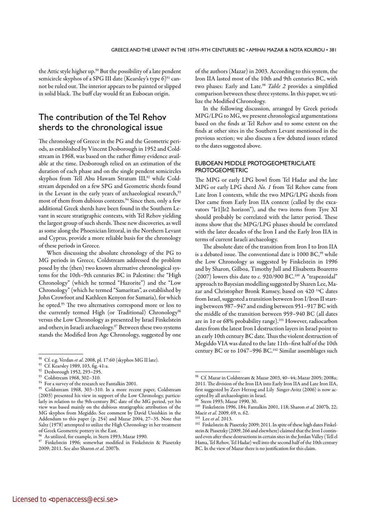the Attic style higher up.<sup>90</sup> But the possibility of a late pendent semicircle skyphos of a SPG III date (Kearsley's type 6)<sup>91</sup> cannot be ruled out. The interior appears to be painted or slipped in solid black. The buff clay would fit an Euboean origin.

# The contribution of the Tel Rehov sherds to the chronological issue

The chronology of Greece in the PG and the Geometric periods, as established by Vincent Desborough in 1952 and Coldstream in 1968, was based on the rather flimsy evidence available at the time. Desborough relied on an estimation of the duration of each phase and on the single pendent semicircles skyphos from Tell Abu Hawam Stratum III,<sup>92</sup> while Coldstream depended on a few SPG and Geometric sherds found in the Levant in the early years of archaeological research,<sup>93</sup> most of them from dubious contexts.<sup>94</sup> Since then, only a few additional Greek sherds have been found in the Southern Levant in secure stratigraphic contexts, with Tel Rehov yielding the largest group of such sherds. These new discoveries, as well as some along the Phoenician littoral, in the Northern Levant and Cyprus, provide a more reliable basis for the chronology of these periods in Greece.

When discussing the absolute chronology of the PG to MG periods in Greece, Coldstream addressed the problem posed by the (then) two known alternative chronological systems for the 10th–9th centuries BC in Palestine: the "High Chronology" (which he termed "Hazorite") and the "Low Chronology" (which he termed "Samaritan", as established by John Crowfoot and Kathleen Kenyon for Samaria), for which he opted.95 The two alternatives correspond more or less to the currently termed High (or Traditional) Chronology<sup>96</sup> versus the Low Chronology as presented by Israel Finkelstein and others in Israeli archaeology.<sup>97</sup> Between these two systems stands the Modified Iron Age Chronology, suggested by one of the authors (Mazar) in 2003. According to this system, the Iron IIA lasted most of the 10th and 9th centuries BC, with two phases: Early and Late.<sup>98</sup> *Table 2* provides a simplified comparison between these three systems. In this paper, we utilize the Modified Chronology.

In the following discussion, arranged by Greek periods MPG/LPG to MG, we present chronological argumentations based on the finds at Tel Rehov and to some extent on the finds at other sites in the Southern Levant mentioned in the previous section; we also discuss a few debated issues related to the dates suggested above.

## EUBOEAN MIDDLE PROTOGEOMETRIC/LATE PROTOGEOMETRIC

The MPG or early LPG bowl from Tel Hadar and the late MPG or early LPG sherd *No. 1* from Tel Rehov came from Late Iron I contexts, while the two MPG/LPG sherds from Dor came from Early Iron IIA context (called by the excavators "Ir1|Ir2 horizon"), and the two items from Tyre XI should probably be correlated with the latter period. These items show that the MPG/LPG phases should be correlated with the later decades of the Iron I and the Early Iron IIA in terms of current Israeli archaeology.

The absolute date of the transition from Iron I to Iron IIA is a debated issue. The conventional date is 1000 BC,<sup>99</sup> while the Low Chronology as suggested by Finkelstein in 1996 and by Sharon, Gilboa, Timothy Jull and Elisabetta Boaretto (2007) lowers this date to *c*. 920/900 BC.<sup>100</sup> A "trapezoidal" approach to Bayesian modelling suggested by Sharen Lee, Mazar and Christopher Bronk Ramsey, based on 420 14C dates from Israel, suggested a transition between Iron I/Iron II starting between 987–947 and ending between 951–917 BC with the middle of the transition between 959–940 BC (all dates are in 1σ or 68% probability range).101 However, radiocarbon dates from the latest Iron I destruction layers in Israel point to an early 10th century BC date. Thus the violent destruction of Megiddo VIA was dated to the late 11th–first half of the 10th century BC or to 1047–996 BC.102 Similar assemblages such

<sup>90</sup> Cf. e.g. Verdan *et al*. 2008, pl. 17:60 (skyphos MG II late). <sup>91</sup> Cf. Kearsley 1989, 103, fig. 41:a.

<sup>92</sup> Desborough 1952, 293–295.

<sup>93</sup> Coldstream 1968, 302–310.

 $^{94}\,$  For a survey of the research see Fantalkin 2001.

<sup>95</sup> Coldstream 1968, 303–310. In a more recent paper, Coldstream (2003) presented his view in support of the Low Chronology, particularly in relation to the 9th-century BC date of the MG period, yet his view was based mainly on the dubious stratigraphic attribution of the MG skyphos from Megiddo. See comment by David Ussishkin in the Addendum to this paper (p. 254) and Mazar 2004, 27–35. Note that Saltz (1978) attempted to utilize the High Chronology in her treatment of Greek Geometric pottery in the East.

 $\frac{96}{7}$  As utilized, for example, in Stern 1993; Mazar 1990.

Finkelstein 1996; somewhat modified in Finkelstein & Piasetzky 2009; 2011. See also Sharon *et al.* 2007b.

<sup>98</sup> Cf. Mazar in Coldstream & Mazar 2003, 40–44; Mazar 2005; 2008a; 2011. The division of the Iron IIA into Early Iron IIA and Late Iron IIA, first suggested by Zeev Herzog and Lily Singer-Avitz (2006) is now accepted by all archaeologists in Israel.

<sup>99</sup> Stern 1993; Mazar 1990, 30.

<sup>100</sup> Finkelstein 1996, 184; Fantalkin 2001, 118; Sharon *et al.* 2007b, 22;<br>Maeir *et al.* 2009, 69, n. 62.

<sup>&</sup>lt;sup>101</sup> Lee *et al.* 2013.<br><sup>102</sup> Finkelstein & Piasetzky 2009; 2011. In spite of these high dates Finkelstein & Piasetzky (2009, 266 and elsewhere) claimed that the Iron I continued even after these destructions in certain sites in the Jordan Valley (Tell el Hama, Tel Rehov, Tel Hadar) well into the second half of the 10th century BC. In the view of Mazar there is no justification for this claim.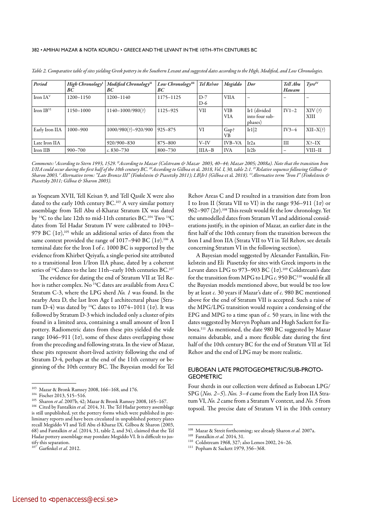| Period         | High Chronology <sup>I</sup><br>ВC | Modified Chronology <sup>II</sup><br>ВC | $Low$ Chronology $III$<br>ВC | Tel Rehov      | Megiddo                  | Dor                                       | Tell Abu<br>Hawam | $Type^{\rm IV}$ |
|----------------|------------------------------------|-----------------------------------------|------------------------------|----------------|--------------------------|-------------------------------------------|-------------------|-----------------|
| Iron $IAV$     | 1200-1150                          | $1200 - 1140$                           | 1175-1125                    | $D-7$<br>$D-6$ | <b>VIIA</b>              | $\overline{\phantom{m}}$                  |                   |                 |
| Iron $IBVI$    | 1150-1000                          | $1140 - 1000/980$ (?)                   | 1125-925                     | VII            | <b>VIB</b><br><b>VIA</b> | Ir1 (divided<br>into four sub-<br>phases) | $IV1-2$           | XIV(?)<br>XIII  |
| Early Iron IIA | $1000 - 900$                       | $1000/980$ (?)-920/900                  | $925 - 875$                  | VI             | Gap?<br><b>VB</b>        | Ir1 2                                     | $IV3-4$           | $XII-X(?)$      |
| Late Iron IIA  |                                    | $920/900 - 830$                         | 875-800                      | $V-IV$         | IVB-VA                   | Ir2a                                      | III               | $X? - IX$       |
| Iron IIB       | 900–700                            | $c. 830 - 730$                          | $800 - 730$                  | $IIIA-B$       | <b>IVA</b>               | Ir2b                                      |                   | VIII-II         |

*Table 2. Comparative table of sites yielding Greek pottery in the Southern Levant and suggested dates according to the High, Modified, and Low Chronologies.* 

*Comments: I According to Stern 1993, 1529. IIAccording to Mazar (Colstream & Mazar 2003, 40*–*44; Mazar 2005; 2008a). Note that the transition Iron I/IIA could occur during the first half of the 10th century BC. IIIAccording to Gilboa* et al*. 2018, Vol. I, 30, table 2:1. IVRelative sequence following Gilboa & Sharon 2003. VAlternative term: "Late Bronze III" (Finkelstein & Piasetzky 2011); LB|Ir1 (Gilboa* et al*. 2018). VIAlternative term "Iron I" (Finkelstein & Piasetzky 2011; Gilboa & Sharon 2003).*

as Yoqneam XVII, Tell Keisan 9, and Tell Qasile X were also dated to the early 10th century BC.<sup>103</sup> A very similar pottery assemblage from Tell Abu el-Kharaz Stratum IX was dated by 14C to the late 12th to mid-11th centuries BC.104 Two 14C dates from Tel Hadar Stratum IV were calibrated to 1043– 979 BC  $(1\sigma)$ ,<sup>105</sup> while an additional series of dates from the same context provided the range of 1017–940 BC (1σ).106 A terminal date for the Iron I of *c.* 1000 BC is supported by the evidence from Khirbet Qeiyafa, a single-period site attributed to a transitional Iron I/Iron IIA phase, dated by a coherent series of <sup>14</sup>C dates to the late 11th–early 10th centuries BC.<sup>107</sup>

The evidence for dating the end of Stratum VII at Tel Rehov is rather complex. No <sup>14</sup>C dates are available from Area C Stratum C-3, where the LPG sherd *No. 1* was found. In the nearby Area D, the last Iron Age I architectural phase (Stratum D-4) was dated by <sup>14</sup>C dates to 1074–1011 (1 $\sigma$ ). It was followed by Stratum D-3 which included only a cluster of pits found in a limited area, containing a small amount of Iron I pottery. Radiometric dates from these pits yielded the wide range 1046–911 ( $1\sigma$ ), some of these dates overlapping those from the preceding and following strata. In the view of Mazar, these pits represent short-lived activity following the end of Stratum D-4, perhaps at the end of the 11th century or beginning of the 10th century BC. The Bayesian model for Tel

Rehov Areas C and D resulted in a transition date from Iron I to Iron II (Strata VII to VI) in the range 936–911 (1σ) or 962–907 ( $2σ$ ).<sup>108</sup> This result would fit the low chronology. Yet the unmodelled dates from Stratum VI and additional considerations justify, in the opinion of Mazar, an earlier date in the first half of the 10th century from the transition between the Iron I and Iron IIA (Strata VII to VI in Tel Rehov, see details concerning Stratum VI in the following section).

A Bayesian model suggested by Alexander Fantalkin, Finkelstein and Eli Piasetzky for sites with Greek imports in the Levant dates LPG to 973-903 BC  $(1\sigma)$ <sup>109</sup> Coldstream's date for the transition from MPG to LPG *c.* 950 BC110 would fit all the Bayesian models mentioned above, but would be too low by at least *c.* 30 years if Mazar's date of *c.* 980 BC mentioned above for the end of Stratum VII is accepted. Such a raise of the MPG/LPG transition would require a condensing of the EPG and MPG to a time span of *c.* 50 years, in line with the dates suggested by Mervyn Popham and Hugh Sackett for Euboea.111 As mentioned, the date 980 BC suggested by Mazar remains debatable, and a more flexible date during the first half of the 10th century BC for the end of Stratum VII at Tel Rehov and the end of LPG may be more realistic.

## EUBOEAN LATE PROTOGEOMETRIC/SUB-PROTO-**GEOMETRIC**

Four sherds in our collection were defined as Euboean LPG/ SPG (*Nos. 2–5*). *Nos. 3–4* came from the Early Iron IIA Stratum VI, *No. 2* came from a Stratum V context, and *No. 5* from topsoil. The precise date of Stratum VI in the 10th century

<sup>103</sup> Mazar & Bronk Ramsey 2008, 166–168, and 176.

<sup>104</sup> Fischer 2013, 515–516.

<sup>&</sup>lt;sup>105</sup> Sharon *et al.* 2007b, 42; Mazar & Bronk Ramsey 2008, 165–167.<br><sup>106</sup> Cited by Fantalkin *et al.* 2014, 31. The Tel Hadar pottery assemblage is still unpublished, yet the pottery forms which were published in preliminary reports and have been circulated in unpublished pottery plates recall Megiddo VI and Tell Abu el-Kharaz IX. Gilboa & Sharon (2003, 68) and Fantalkin *et al.* (2014, 31, table 2, and 34), claimed that the Tel Hadar pottery assemblage may postdate Megiddo VI. It is difficult to jus- $\frac{1}{107}$  tify this separation.

<sup>107</sup> Garfinkel *et al*. 2012.

<sup>108</sup> Mazar & Streit forthcoming; see already Sharon *et al.* 2007a. <sup>109</sup> Fantalkin *et al.* 2014, 31. <sup>110</sup> Coldstream 1968, 327; also Lemos 2002, 24–26.

<sup>111</sup> Popham & Sackett 1979, 356–368.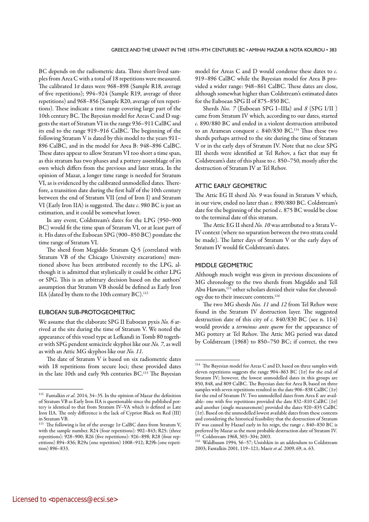BC depends on the radiometric data. Three short-lived samples from Area C with a total of 18 repetitions were measured. The calibrated 1σ dates were 968–898 (Sample R18, average of five repetitions); 994–924 (Sample R19, average of three repetitions) and 968–856 (Sample R20, average of ten repetitions). These indicate a time range covering large part of the 10th century BC. The Bayesian model for Areas C and D suggests the start of Stratum VI in the range 936–911 CalBC and its end to the range 919–916 CalBC. The beginning of the following Stratum V is dated by this model to the years 911– 896 CalBC, and in the model for Area B: 948–896 CalBC. These dates appear to allow Stratum VI too short a time span, as this stratum has two phases and a pottery assemblage of its own which differs from the previous and later strata. In the opinion of Mazar, a longer time range is needed for Stratum VI, as is evidenced by the calibrated unmodelled dates. Therefore, a transition date during the first half of the 10th century between the end of Stratum VII (end of Iron I) and Stratum VI (Early Iron IIA) is suggested. The date *c*. 980 BC is just an estimation, and it could be somewhat lower.

In any event, Coldstream's dates for the LPG (950–900 BC) would fit the time span of Stratum VI, or at least part of it. His dates of the Euboean SPG (900–850 BC) postdate the time range of Stratum VI.

The sherd from Megiddo Stratum Q-5 (correlated with Stratum VB of the Chicago University excavations) mentioned above has been attributed recently to the LPG, although it is admitted that stylistically it could be either LPG or SPG. This is an arbitrary decision based on the authors' assumption that Stratum VB should be defined as Early Iron IIA (dated by them to the 10th century BC).<sup>112</sup>

## EUBOEAN SUB-PROTOGEOMETRIC

We assume that the elaborate SPG II Euboean pyxis *No. 6* arrived at the site during the time of Stratum V. We noted the appearance of this vessel type at Lefkandi in Tomb 80 together with SPG pendent semicircle skyphoi like our *No. 7*, as well as with an Attic MG skyphos like our *No. 11*.

The date of Stratum V is based on six radiometric dates with 18 repetitions from secure loci; these provided dates in the late 10th and early 9th centuries BC.113 The Bayesian model for Areas C and D would condense these dates to *c.* 919–896 CalBC while the Bayesian model for Area B provided a wider range: 948–861 CalBC. These dates are close, although somewhat higher than Coldstream's estimated dates for the Euboean SPG II of 875–850 BC.

Sherds *Nos. 7* (Euboean SPG I–IIIa) and *8* (SPG I/IΙ ) came from Stratum IV which, according to our dates, started *c.* 890/880 BC and ended in a violent destruction attributed to an Aramean conquest *c.* 840/830 BC.114 Thus these two sherds perhaps arrived to the site during the time of Stratum V or in the early days of Stratum IV. Note that no clear SPG III sherds were identified at Tel Rehov, a fact that may fit Coldstream's date of this phase to *c.* 850–750, mostly after the destruction of Stratum IV at Tel Rehov.

#### ATTIC EARLY GEOMETRIC

The Attic EG II sherd *No. 9* was found in Stratum V which, in our view, ended no later than *c.* 890/880 BC. Coldstream's date for the beginning of the period *c.* 875 BC would be close to the terminal date of this stratum.

The Attic EG II sherd *No. 10* was attributed to a Strata V– IV context (where no separation between the two strata could be made). The latter days of Stratum V or the early days of Stratum IV would fit Coldstream's dates.

## MIDDLE GEOMETRIC

Although much weight was given in previous discussions of MG chronology to the two sherds from Megiddo and Tell Abu Hawam,115 other scholars denied their value for chronology due to their insecure contexts.116

The two MG sherds *Nos. 11* and *12* from Tel Rehov were found in the Stratum IV destruction layer. The suggested destruction date of this city of *c.* 840/830 BC (see n. 114) would provide a *terminus ante quem* for the appearance of MG pottery at Tel Rehov. The Attic MG period was dated by Coldstream (1968) to 850–750 BC; if correct, the two

<sup>112</sup> Fantalkin *et al.* 2014, 34–35. In the opinion of Mazar the definition of Stratum VB as Early Iron IIA is questionable since the published pottery is identical to that from Stratum IV–VA which is defined as Late Iron IIA. The only difference is the lack of Cypriot Black on Red (III) in Stratum VB.

<sup>&</sup>lt;sup>113</sup> The following is list of the average  $1\sigma$  CalBC dates from Stratum V, with the sample number. R24 (four repetitions): 902–843; R25: (three repetitions): 928–900; R26 (five repetitions): 926–898; R28 (four repetitions) 894–836; R29a (one repetition) 1008–912; R29b (one repetition) 896–833.

 $^{114}\,$  The Bayesian model for Areas C and D, based on three samples with eleven repetitions suggests the range 904–863 BC (1σ) for the end of Stratum IV; however, the lowest unmodelled dates in this groups are 850, 848, and 809 CalBC. The Bayesian date for Area B, based on three samples with seven repetitions resulted in the date 906–838 CalBC  $(1\sigma)$ for the end of Stratum IV. Two unmodelled dates from Area E are available: one with five repetitions provided the date 832-810 CalBC  $(1\sigma)$ and another (single measurement) provided the dates 920–835 CalBC (1σ). Based on the unmodelled lowest available dates from these contexts and considering the historical feasibility that the destruction of Stratum IV was caused by Hazael early in his reign, the range *c*. 840–830 BC is preferred by Mazar as the most probable destruction date of Stratum IV. <sup>115</sup> Coldstream 1968, 303–304; 2003.

<sup>116</sup> Waldbaum 1994, 56–57; Ussishkin in an addendum to Coldstream 2003; Fantalkin 2001, 119–121; Maeir *et al.* 2009, 69, n. 63.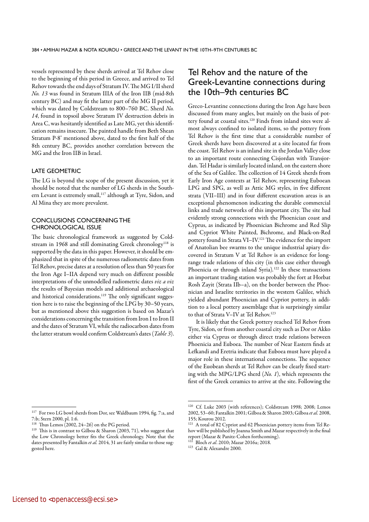vessels represented by these sherds arrived at Tel Rehov close to the beginning of this period in Greece, and arrived to Tel Rehov towards the end days of Stratum IV. The MG I/II sherd *No. 13* was found in Stratum IIIA of the Iron IIB (mid-8th century BC) and may fit the latter part of the MG II period, which was dated by Coldstream to 800–760 BC. Sherd *No. 14*, found in topsoil above Stratum IV destruction debris in Area C, was hesitantly identified as Late MG, yet this identification remains insecure. The painted handle from Beth Shean Stratum P-8' mentioned above, dated to the first half of the 8th century BC, provides another correlation between the MG and the Iron IIB in Israel.

## LATE GEOMETRIC

The LG is beyond the scope of the present discussion, yet it should be noted that the number of LG sherds in the Southern Levant is extremely small,<sup>117</sup> although at Tyre, Sidon, and Al Mina they are more prevalent.

## CONCLUSIONS CONCERNING THE CHRONOLOGICAL ISSUE

The basic chronological framework as suggested by Coldstream in 1968 and still dominating Greek chronology<sup>118</sup> is supported by the data in this paper. However, it should be emphasized that in spite of the numerous radiometric dates from Tel Rehov, precise dates at a resolution of less than 50 years for the Iron Age I–IIA depend very much on different possible interpretations of the unmodelled radiometric dates *viz a viz* the results of Bayesian models and additional archaeological and historical considerations.<sup>119</sup> The only significant suggestion here is to raise the beginning of the LPG by 30–50 years, but as mentioned above this suggestion is based on Mazar's considerations concerning the transition from Iron I to Iron II and the dates of Stratum VI, while the radiocarbon dates from the latter stratum would confirm Coldstream's dates (*Table 3*).

# Tel Rehov and the nature of the Greek-Levantine connections during the 10th–9th centuries BC

Greco-Levantine connections during the Iron Age have been discussed from many angles, but mainly on the basis of pottery found at coastal sites.120 Finds from inland sites were almost always confined to isolated items, so the pottery from Tel Rehov is the first time that a considerable number of Greek sherds have been discovered at a site located far from the coast. Tel Rehov is an inland site in the Jordan Valley close to an important route connecting Cisjordan with Transjordan. Tel Hadar is similarly located inland, on the eastern shore of the Sea of Galilee. The collection of 14 Greek sherds from Early Iron Age contexts at Tel Rehov, representing Euboean LPG and SPG, as well as Attic MG styles, in five different strata (VII–III) and in four different excavation areas is an exceptional phenomenon indicating the durable commercial links and trade networks of this important city. The site had evidently strong connections with the Phoenician coast and Cyprus, as indicated by Phoenician Bichrome and Red Slip and Cypriot White Painted, Bichrome, and Black-on-Red pottery found in Strata VI-IV.<sup>121</sup> The evidence for the import of Anatolian bee swarms to the unique industrial apiary discovered in Stratum V at Tel Rehov is an evidence for longrange trade relations of this city (in this case either through Phoenicia or through inland Syria)*.* 122 In these transactions an important trading station was probably the fort at Horbat Rosh Zayit (Strata IIb–a), on the border between the Phoenician and Israelite territories in the western Galilee, which yielded abundant Phoenician and Cypriot pottery, in addition to a local pottery assemblage that is surprisingly similar to that of Strata V-IV at Tel Rehov.<sup>123</sup>

It is likely that the Greek pottery reached Tel Rehov from Tyre, Sidon, or from another coastal city such as Dor or Akko either via Cyprus or through direct trade relations between Phoenicia and Euboea. The number of Near Eastern finds at Lefkandi and Eretria indicate that Euboea must have played a major role in these international connections. The sequence of the Euobean sherds at Tel Rehov can be clearly fixed starting with the MPG/LPG sherd (*No. 1*), which represents the first of the Greek ceramics to arrive at the site. Following the

<sup>117</sup> For two LG bowl sherds from Dor, see Waldbaum 1994, fig. 7:a, and 7:b; Stern 2000, pl. 1:6.

Thus Lemos  $(2002, 24-26)$  on the PG period.

<sup>119</sup> This is in contrast to Gilboa & Sharon (2003, 71), who suggest that the Low Chronology better fits the Greek chronology. Note that the dates presented by Fantalkin *et al.* 2014, 31 are fairly similar to those suggested here.

<sup>120</sup> Cf. Luke 2003 (with references); Coldstream 1998; 2008; Lemos 2002, 53–60; Fantalkin 2001; Gilboa & Sharon 2003; Gilboa *et al.* 2008, 155; Kourou 2012.

A total of 82 Cypriot and 62 Phoenician pottery items from Tel Rehov will be published by Joanna Smith and Mazar respectively in the final report (Mazar & Panitz-Cohen forthcoming).<br><sup>122</sup> Plack at J 2010. 12

<sup>&</sup>lt;sup>122</sup> Bloch *et al*. 2010; Mazar 2016a; 2018.<br><sup>123</sup> Gal & Alexandre 2000.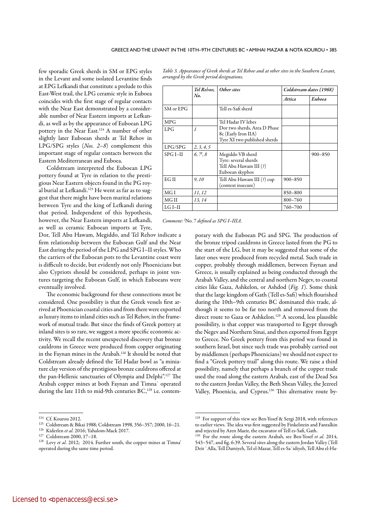few sporadic Greek sherds in SM or EPG styles in the Levant and some isolated Levantine finds at EPG Lefkandi that constitute a prelude to this East-West trail, the LPG ceramic style in Euboea coincides with the first stage of regular contacts with the Near East demonstrated by a considerable number of Near Eastern imports at Lefkandi, as well as by the appearance of Euboean LPG pottery in the Near East.124 A number of other slightly later Euboean sherds at Tel Rehov in LPG/SPG styles (*Nos. 2–8*) complement this important stage of regular contacts between the Eastern Mediterranean and Euboea.

Coldstream interpreted the Euboean LPG pottery found at Tyre in relation to the prestigious Near Eastern objects found in the PG royal burial at Lefkandi.<sup>125</sup> He went as far as to suggest that there might have been marital relations between Tyre and the king of Lefkandi during that period. Independent of this hypothesis, however, the Near Eastern imports at Lefkandi, as well as ceramic Euboean imports at Tyre,

Dor, Tell Abu Hawam, Megiddo, and Tel Rehov indicate a firm relationship between the Euboean Gulf and the Near East during the period of the LPG and SPG I–II styles. Who the carriers of the Euboean pots to the Levantine coast were is difficult to decide, but evidently not only Phoenicians but also Cypriots should be considered, perhaps in joint ventures targeting the Euboean Gulf, in which Euboeans were eventually involved.

The economic background for these connections must be considered. One possibility is that the Greek vessels first arrived at Phoenician coastal cities and from there were exported as luxury items to inland cities such as Tel Rehov, in the framework of mutual trade. But since the finds of Greek pottery at inland sites is so rare, we suggest a more specific economic activity. We recall the recent unexpected discovery that bronze cauldrons in Greece were produced from copper originating in the Faynan mines in the Arabah.126 It should be noted that Coldstream already defined the Tel Hadar bowl as "a miniature clay version of the prestigious bronze cauldrons offered at the pan-Hellenic sanctuaries of Olympia and Delphi".127 The Arabah copper mines at both Faynan and Timnaʿ operated during the late 11th to mid-9th centuries BC,<sup>128</sup> i.e. contem-

*Table 3. Appearance of Greek sherds at Tel Rehov and at other sites in the Southern Levant,* 

|            | Tel Rehov, | Other sites                                                                           | Coldstream dates (1968) |             |  |
|------------|------------|---------------------------------------------------------------------------------------|-------------------------|-------------|--|
|            | No.        |                                                                                       | Attica                  | Euboea      |  |
| SM or EPG  |            | Tell es-Safi sherd                                                                    |                         |             |  |
| <b>MPG</b> |            | Tel Hadar IV lebes                                                                    |                         |             |  |
| LPG        | 1          | Dor two sherds, Area D Phase<br>8c (Early Iron IIA)<br>Tyre XI two published sherds   |                         |             |  |
| LPG/SPG    | 2, 3, 4, 5 |                                                                                       |                         |             |  |
| $SPG I-II$ | 6, 7, 8    | Megiddo VB sherd<br>Tyre: several sherds<br>Tell Abu Hawam III (?)<br>Euboean skyphos |                         | $900 - 850$ |  |
| EG II      | 9,10       | Tell Abu Hawam III (?) cup<br>(context insecure)                                      | $900 - 850$             |             |  |
| MGI        | 11, 12     |                                                                                       | 850-800                 |             |  |
| MG II      | 13, 14     |                                                                                       | 800-760                 |             |  |
| $LGI-II$   |            |                                                                                       | 760-700                 |             |  |

*Comment: I* No. 7 *defined as SPG I–IIIA.*

porary with the Euboean PG and SPG. The production of the bronze tripod cauldrons in Greece lasted from the PG to the start of the LG, but it may be suggested that some of the later ones were produced from recycled metal. Such trade in copper, probably through middlemen, between Faynan and Greece, is usually explained as being conducted through the Arabah Valley, and the central and northern Negev, to coastal cities like Gaza, Ashkelon, or Ashdod (*Fig. 1*). Some think that the large kingdom of Gath (Tell es-Safi) which flourished during the 10th–9th centuries BC dominated this trade, although it seems to be far too north and removed from the direct route to Gaza or Ashkelon.<sup>129</sup> A second, less plausible possibility, is that copper was transported to Egypt through the Negev and Northern Sinai, and then exported from Egypt to Greece. No Greek pottery from this period was found in southern Israel, but since such trade was probably carried out by middlemen (perhaps Phoenicians) we should not expect to find a "Greek pottery trail" along this route. We raise a third possibility, namely that perhaps a branch of the copper trade used the road along the eastern Arabah, east of the Dead Sea to the eastern Jordan Valley, the Beth Shean Valley, the Jezreel Valley, Phoenicia, and Cyprus.130 This alternative route by-

<sup>&</sup>lt;sup>124</sup> Cf. Kourou 2012.<br><sup>125</sup> Coldstream & Bikai 1988; Coldstream 1998, 356–357; 2000, 16–21.

<sup>126</sup> Kiderlen *et al*. 2016; Yahalom-Mack 2017. <sup>127</sup> Coldstream 2000, 17–18.

<sup>&</sup>lt;sup>128</sup> Levy *et al.* 2012; 2014. Further south, the copper mines at Timna' operated during the same time period.

<sup>&</sup>lt;sup>129</sup> For support of this view see Ben-Yosef & Sergi 2018, with references to earlier views. The idea was first suggested by Finkelstein and Fantalkin and rejected by Aren Maeir, the excavator of Tell es-Safi, Gath.

<sup>&</sup>lt;sup>130</sup> For the route along the eastern Arabah, see Ben-Yosef et al. 2014, 543–547, and fig. 6:39. Several sites along the eastern Jordan Valley (Tell Deir `Alla, Tell Damiyeh, Tel el-Mazar, Tell es-Sa`idiyeh, Tell Abu el-Ha-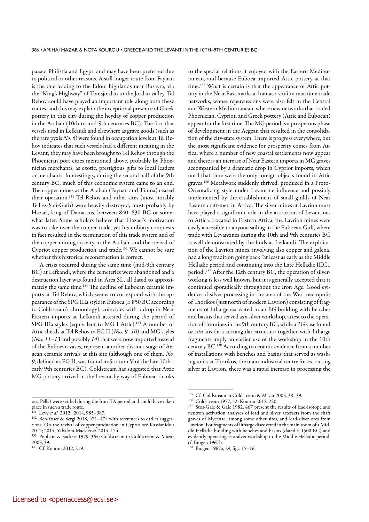passed Philistia and Egypt, and may have been preferred due to political or other reasons. A still-longer route from Faynan is the one leading to the Edom highlands near Busayra, via the "King's Highway" of Transjordan to the Jordan valley. Tel Rehov could have played an important role along both these routes, and this may explain the exceptional presence of Greek pottery in this city during the heyday of copper production in the Arabah (10th to mid-9th centuries BC). The fact that vessels used in Lefkandi and elsewhere as grave goods (such as the rare pyxis *No. 6*) were found in occupation levels at Tel Rehov indicates that such vessels had a different meaning in the Levant; they may have been brought to Tel Rehov through the Phoenician port cities mentioned above, probably by Phoenician merchants, as exotic, prestigious gifts to local leaders or merchants. Interestingly, during the second half of the 9th century BC, much of this economic system came to an end. The copper mines at the Arabah (Faynan and Timna) ceased their operation.131 Tel Rehov and other sites (most notably Tell es-Safi-Gath) were heavily destroyed, most probably by Hazael, king of Damascus, between 840–830 BC or somewhat later. Some scholars believe that Hazael's motivation was to take over the copper trade, yet his military conquests in fact resulted in the termination of this trade system and of the copper-mining activity in the Arabah, and the revival of Cypriot copper production and trade.132 We cannot be sure whether this historical reconstruction is correct.

A crisis occurred during the same time (mid-9th century BC) at Lefkandi, where the cemeteries were abandoned and a destruction layer was found in Area SL, all dated to approximately the same time.<sup>133</sup> The decline of Euboean ceramic imports at Tel Rehov, which seems to correspond with the appearance of the SPG IIIa style in Euboea (*c.* 850 BC according to Coldstream's chronology), coincides with a drop in Near Eastern imports at Lefkandi attested during the period of SPG IIIa styles (equivalent to MG I Attic).<sup>134</sup> A number of Attic sherds at Tel Rehov in EG II (*Nos. 9–10*) and MG styles (*Nos. 11–13* and possibly *14*) that were now imported instead of the Euboean vases, represent another distinct stage of Aegean ceramic arrivals at this site (although one of them, *No. 9*, defined as EG II, was found in Stratum V of the late 10th– early 9th centuries BC). Coldstream has suggested that Attic MG pottery arrived in the Levant by way of Euboea, thanks

to the special relations it enjoyed with the Eastern Mediterranean, and because Euboea imported Attic pottery at that time.<sup>135</sup> What is certain is that the appearance of Attic pottery in the Near East marks a dramatic shift in maritime trade networks, whose repercussions were also felt in the Central and Western Mediterranean, where new networks that traded Phoenician, Cypriot, and Greek pottery (Attic and Euboean) appear for the first time. The MG period is a prosperous phase of development in the Aegean that resulted in the consolidation of the city-state system. There is progress everywhere, but the most significant evidence for prosperity comes from Attica, where a number of new coastal settlements now appear and there is an increase of Near Eastern imports in MG graves accompanied by a dramatic drop in Cypriot imports, which until that time were the only foreign objects found in Attic graves.136 Metalwork suddenly thrived, produced in a Proto-Orientalizing style under Levantine influence and possibly implemented by the establishment of small guilds of Near Eastern craftsmen in Attica. The silver mines at Lavrion must have played a significant role in the attraction of Levantines to Attica. Located in Eastern Attica, the Lavrion mines were easily accessible to anyone sailing in the Euboean Gulf, where trade with Levantines during the 10th and 9th centuries BC is well demonstrated by the finds at Lefkandi. The exploitation of the Lavrion mines, involving also copper and galena, had a long tradition going back "at least as early as the Middle Helladic period and continuing into the Late Helladic IIIC1 period".137 After the 12th century BC, the operation of silverworking is less well known, but it is generally accepted that it continued sporadically throughout the Iron Age. Good evidence of silver processing in the area of the West necropolis of Thorikos (just north of modern Lavrion) consisting of fragments of litharge excavated in an EG building with benches and basins that served as a silver workshop, attest to the operation of the mines in the 9th century BC, while a PG vase found *in situ* inside a rectangular structure together with litharge fragments imply an earlier use of the workshop in the 10th century BC.<sup>138</sup> According to ceramic evidence from a number of installations with benches and basins that served as washing units at Thorikos, the main industrial centre for extracting silver at Lavrion, there was a rapid increase in processing the

raz, Pella) were settled during the Iron IIA period and could have taken place in such a trade route.<br> $^{131}$  Levy *et al.* 2012; 2014, 985–987.

<sup>&</sup>lt;sup>132</sup> Ben-Yosef & Sergi 2018, 471-474 with references to earlier suggestions. On the revival of copper production in Cyprus see Kassianidou<br>2012; 2014; Yahalom-Mack et al. 2014, 174.

<sup>&</sup>lt;sup>133</sup> Popham & Sackett 1979, 364; Coldstream in Coldstream & Mazar 2003, 39.

<sup>&</sup>lt;sup>134</sup> Cf. Kourou 2012, 219.

<sup>&</sup>lt;sup>135</sup> Cf. Coldstream in Coldstream & Mazar 2003, 38–39.<br><sup>136</sup> Coldstream 1977, 52; Kourou 2012, 220.

<sup>&</sup>lt;sup>137</sup> Stos-Gale & Gale 1982, 467 present the results of lead-isotope and neutron activation analyses of lead and silver artefacts from the shaft graves of Mycenae, among some other sites, and lead-silver ores from Lavrion. For fragments of litharge discovered in the main room of a Middle Helladic building with benches and basins (dated *c*. 1500 BC) and evidently operating as a silver workshop in the Middle Helladic period, cf. Bingen 1967b.

<sup>138</sup> Bingen 1967a, 29, figs. 15–16.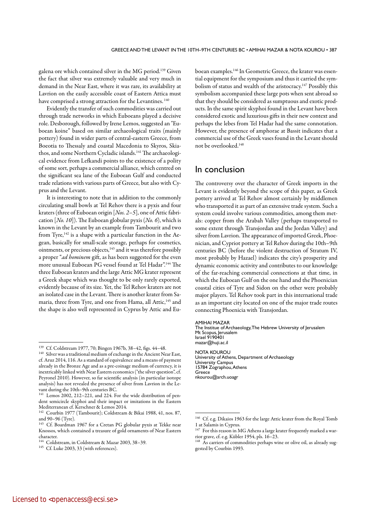galena ore which contained silver in the MG period.139 Given the fact that silver was extremely valuable and very much in demand in the Near East, where it was rare, its availability at Lavrion on the easily accessible coast of Eastern Attica must have comprised a strong attraction for the Levantines.<sup>140</sup>

Evidently the transfer of such commodities was carried out through trade networks in which Euboeans played a decisive role. Desborough, followed by Irene Lemos, suggested an "Euboean koine" based on similar archaeological traits (mainly pottery) found in wider parts of central-eastern Greece, from Boeotia to Thessaly and coastal Macedonia to Skyros, Skiathos, and some Northern Cycladic islands.<sup>141</sup> The archaeological evidence from Lefkandi points to the existence of a polity of some sort, perhaps a commercial alliance, which centred on the significant sea lane of the Euboean Gulf and conducted trade relations with various parts of Greece, but also with Cyprus and the Levant.

It is interesting to note that in addition to the commonly circulating small bowls at Tel Rehov there is a pyxis and four kraters (three of Euboean origin [*Nos. 2–5*], one of Attic fabrication [*No. 10*]). The Euboean globular pyxis (*No. 6*), which is known in the Levant by an example from Tambourit and two from Tyre,<sup>142</sup> is a shape with a particular function in the Aegean, basically for small-scale storage, perhaps for cosmetics, ointments, or precious objects,143 and it was therefore possibly a proper "*ad hominem* gift, as has been suggested for the even more unusual Euboean PG vessel found at Tel Hadar".144 The three Euboean kraters and the large Attic MG krater represent a Greek shape which was thought to be only rarely exported, evidently because of its size. Yet, the Tel Rehov kraters are not an isolated case in the Levant. There is another krater from Samaria, three from Tyre, and one from Hama, all Attic,<sup>145</sup> and the shape is also well represented in Cyprus by Attic and Euboean examples.146 In Geometric Greece, the krater was essential equipment for the symposium and thus it carried the symbolism of status and wealth of the aristocracy.<sup>147</sup> Possibly this symbolism accompanied these large pots when sent abroad so that they should be considered as sumptuous and exotic products. In the same spirit skyphoi found in the Levant have been considered exotic and luxurious gifts in their new context and perhaps the lebes from Tel Hadar had the same connotation. However, the presence of amphorae at Bassit indicates that a commercial use of the Greek vases found in the Levant should not be overlooked.148

# In conclusion

The controversy over the character of Greek imports in the Levant is evidently beyond the scope of this paper, as Greek pottery arrived at Tel Rehov almost certainly by middlemen who transported it as part of an extensive trade system. Such a system could involve various commodities, among them metals: copper from the Arabah Valley (perhaps transported to some extent through Transjordan and the Jordan Valley) and silver from Lavrion. The appearance of imported Greek, Phoenician, and Cypriot pottery at Tel Rehov during the 10th–9th centuries BC (before the violent destruction of Stratum IV, most probably by Hazael) indicates the city's prosperity and dynamic economic activity and contributes to our knowledge of the far-reaching commercial connections at that time, in which the Euboean Gulf on the one hand and the Phoenician coastal cities of Tyre and Sidon on the other were probably major players. Tel Rehov took part in this international trade as an important city located on one of the major trade routes connecting Phoenicia with Transjordan.

#### AMIHAI MAZAR

The Institue of Archaeology, The Hebrew University of Jerusalem Mt Scopus, Jerusalem Israel 9190401 mazar@huji.ac.il

NOTA KOUROU University of Athens, Department of Archaeology University Campus 15784 Zographou, Athens Greece nkourou@arch.uoagr

<sup>139</sup> Cf. Coldstream 1977, 70; Bingen 1967b, 38–42, figs. 44–48.

 $^{140}\,$  Silver was a traditional medium of exchange in the Ancient Near East, cf. Aruz 2014, 116. As a standard of equivalence and a means of payment already in the Bronze Age and as a pre-coinage medium of currency, it is inextricably linked with Near Eastern economics ("the silver question", cf. Peyronel 2010). However, so far scientific analysis (in particular isotope analysis) has not revealed the presence of silver from Lavrion in the Levant during the 10th–9th centuries BC.

<sup>&</sup>lt;sup>141</sup> Lemos 2002, 212–221, and 224. For the wide distribution of pendent semicircle skyphoi and their impact or imitations in the Eastern Mediterranean cf. Kerschner & Lemos 2014.

<sup>142</sup> Courbin 1977 (Tambourit); Coldstream & Bikai 1988, 41, nos. 87, and 90–96 (Tyre).

<sup>143</sup> Cf. Boardman 1967 for a Cretan PG globular pyxis at Tekke near Knossos, which contained a treasure of gold ornaments of Near Eastern character.

<sup>&</sup>lt;sup>144</sup> Coldstream, in Coldstream & Mazar 2003, 38–39.<br><sup>145</sup> Cf. Luke 2003, 33 (with references).

<sup>146</sup> Cf. e.g. Dikaios 1963 for the large Attic krater from the Royal Tomb 1 at Salamis in Cyprus.

The Committee of The MG Athens a large krater frequently marked a warrior grave, cf. e.g. Kübler 1954, pls. 16–23.

As carriers of commodities perhaps wine or olive oil, as already suggested by Courbin 1993.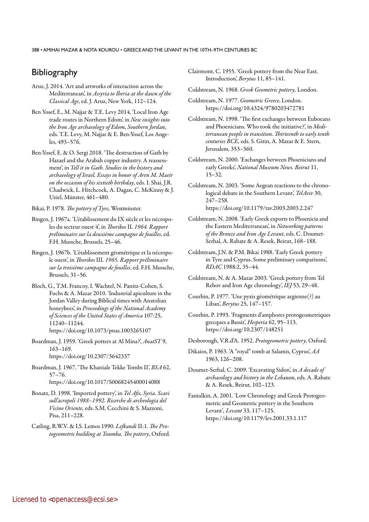# **Bibliography**

- Aruz, J. 2014. 'Art and artworks of interaction across the Mediterranean', in *Assyria to Iberia at the dawn of the Classical Age*, ed. J. Aruz, New York, 112–124.
- Ben Yosef, E., M. Najjar & T.E. Levy 2014, 'Local Iron Age trade routes in Northern Edom', in *New insights into the Iron Age archaeology of Edom, Southern Jordan*, eds. T.E. Levy, M. Najjar & E. Ben-Yosef, Los Angeles, 493–576.
- Ben-Yosef, E. & O. Sergi 2018. '[The destruction of Gath by](https://www.academia.edu/37878100/The_Destruction_of_Gath_by_Hazael_and_the_Arabah_Copper_Industry_A_Reassessment_Pp._461-480_in_Tell_it_in_Gath_Studies_in_the_History_and_Archaeology_of_Israel_2018_)  [Hazael and the Arabah copper industry. A reassess](https://www.academia.edu/37878100/The_Destruction_of_Gath_by_Hazael_and_the_Arabah_Copper_Industry_A_Reassessment_Pp._461-480_in_Tell_it_in_Gath_Studies_in_the_History_and_Archaeology_of_Israel_2018_)[ment](https://www.academia.edu/37878100/The_Destruction_of_Gath_by_Hazael_and_the_Arabah_Copper_Industry_A_Reassessment_Pp._461-480_in_Tell_it_in_Gath_Studies_in_the_History_and_Archaeology_of_Israel_2018_)', in *Tell it in Gath. Studies in the history and archaeology of Israel. Essays in honor of Aren M. Maeir on the occasion of his sixtieth birthday*, eds. I. Shai, J.R. Chadwick, L. Hitchcock, A. Dagan, C. McKinny & J. Uziel, Münster, 461–480.

Bikai, P. 1978*. The pottery of Tyre,* Westminster.

- Bingen, J. 1967a. 'L'établissement du IX siècle et les nécropoles du secteur ouest 4', in *Thorikos* II*. 1964. Rapport préliminaire sur la deuxième campagne de fouilles*, ed. F.H. Mussche, Brussels, 25–46.
- Bingen, J. 1967b. 'L'établissement géométrique et la nécropole ouest', in *Thorikos* III*. 1965. Rapport préliminaire sur la troisième campagne de fouilles*, ed. F.H. Mussche, Brussels, 31–56.
- Bloch, G., T.M. Francoy, I. Wachtel, N. Panitz-Cohen, S. Fuchs & A. Mazar 2010. 'Industrial apiculture in the Jordan Valley during Biblical times with Anatolian honeybees', in *Proceedings of the National Academy of Sciences of the United States of America* 107:25, 11240–11244. <https://doi.org/10.1073/pnas.1003265107>
- Boardman, J. 1959. 'Greek potters at Al Mina?', *AnatST* 9, 163–169. <https://doi.org/10.2307/3642337>

Boardman, J. 1967. 'The Khaniale Tekke Tombs II', *BSA* 62, 57–76. https://doi.org/10.1017/S0068245400014088

- Bonatz, D. 1998. 'Imported pottery', in *Tel Afis, Syria. Scavi sull'acropoli 1988–1992. Ricerche di archeologia del Vicino Oriente,* eds. S.M. Cecchini & S. Mazzoni, Pisa, 211–228.
- Catling, R.W.V. & I.S. Lemos 1990. *Lefkandi* II:1*. The Protogeometric building at Toumba. The pottery*, Oxford.
- Clairmont, C. 1955. 'Greek pottery from the Near East. Introduction', *Berytus* 11, 85–141.
- Coldstream, N. 1968. *Greek Geometric pottery,* London.
- Coldstream, N. 1977. *Geometric Greece*, London. <https://doi.org/10.4324/9780203472781>
- Coldstream, N. 1998. 'The first exchanges between Euboeans and Phoenicians. Who took the initiative?', in *Mediterranean people in transition. Thirteenth to early tenth centuries BCE,* eds. S. Gitin, A. Mazar & E. Stern, Jerusalem, 353–360.
- Coldstream, N. 2000. 'Exchanges between Phoenicians and early Greeks', *National Museum News. Beirut* 11, 15–32.
- Coldstream, N. 2003. 'Some Aegean reactions to the chronological debate in the Southern Levant', *TelAviv* 30, 247–258. <https://doi.org/10.1179/tav.2003.2003.2.247>
- Coldstream, N. 2008. 'Early Greek exports to Phoenicia and the Eastern Mediterranean', in *Networking patterns of the Bronze and Iron Age Levant*, eds. C. Doumet-Serhal, A. Rabate & A. Resek, Beirut, 168–188.
- Coldstream, J.N. & P.M. Bikai 1988. 'Early Greek pottery in Tyre and Cyprus. Some preliminary comparisons', *RDAC* 1988:2, 35–44.
- Coldstream, N. & A. Mazar 2003. 'Greek pottery from Tel Rehov and Iron Age chronology', *IEJ* 53, 29–48.
- Courbin, P. 1977. 'Une pyxis géométrique argienne(?) au Liban', *Berytus* 25, 147–157.
- Courbin, P. 1993. 'Fragments d'amphores protogeometriques grecques a Bassit', *Hesperia* 62, 95–113. <https://doi.org/10.2307/148251>

Desborough, V.R.d'A. 1952. *Protogeometric pottery*, Oxford.

- Dikaios, P. 1963. 'A "royal" tomb at Salamis, Cyprus', *AA* 1963, 126–208.
- Doumet-Serhal, C. 2009. 'Excavating Sidon', in *A decade of archaeology and history in the Lebanon*, eds. A. Rabate & A. Resek, Beirut, 102–123.
- Fantalkin, A. 2001. 'Low Chronology and Greek Protogeometric and Geometric pottery in the Southern Levant'*, Levant* 33, 117–125. <https://doi.org/10.1179/lev.2001.33.1.117>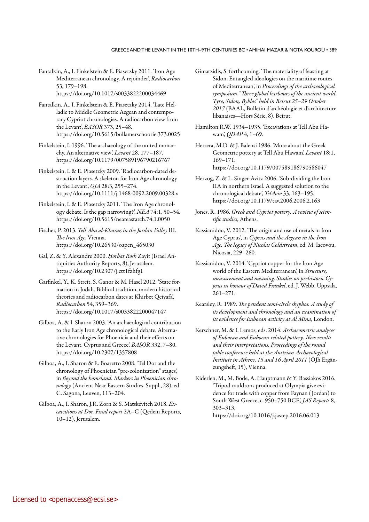Fantalkin, A., I. Finkelstein & E. Piasetzky 2011. 'Iron Age Mediterranean chronology. A rejoinder', *Radiocarbon* 53, 179–198. <https://doi.org/10.1017/s0033822200034469>

Fantalkin, A., I. Finkelstein & E. Piasetzky 2014. 'Late Helladic to Middle Geometric Aegean and contemporary Cypriot chronologies. A radiocarbon view from the Levant', *BASOR* 373, 25–48. <https://doi.org/10.5615/bullamerschoorie.373.0025>

- Finkelstein, I. 1996. 'The archaeology of the united monarchy. An alternative view', *Levant* 28, 177–187. <https://doi.org/10.1179/007589196790216767>
- Finkelstein, I. & E. Piasetzky 2009. 'Radiocarbon-dated destruction layers. A skeleton for Iron Age chronology in the Levant', *OJA* 28:3, 255–274. <https://doi.org/10.1111/j.1468-0092.2009.00328.x>
- Finkelstein, I. & E. Piasetzky 2011. 'The Iron Age chronology debate. Is the gap narrowing?', *NEA* 74:1, 50–54. <https://doi.org/10.5615/neareastarch.74.1.0050>
- Fischer, P. 2013. *Tell Abu al-Kharaz in the Jordan Valley* III*. The Iron Age*, Vienna. [https://doi.org/10.26530/oapen\\_465030](https://doi.org/10.26530/oapen_465030)
- Gal, Z. & Y. Alexandre 2000. *Ḥorbat Rosh* Zayit (Israel Antiquities Authority Reports, 8), Jerusalem. <https://doi.org/10.2307/j.ctt1fzhfg1>
- Garfinkel, Y., K. Streit, S. Ganor & M. Hasel 2012. 'State formation in Judah. Biblical tradition, modern historical theories and radiocarbon dates at Khirbet Qeiyafa', *Radiocarbon* 54, 359–369. <https://doi.org/10.1017/s0033822200047147>
- Gilboa, A. & I. Sharon 2003. 'An archaeological contribution to the Early Iron Age chronological debate. Alternative chronologies for Phoenicia and their effects on the Levant, Cyprus and Greece', *BASOR* 332, 7–80. <https://doi.org/10.2307/1357808>
- Gilboa, A., I. Sharon & E. Boaretto 2008. 'Tel Dor and the chronology of Phoenician "pre-colonization" stages', in *Beyond the homeland. Markers in Phoenician chronology* (Ancient Near Eastern Studies. Suppl., 28), ed. C. Sagona, Leuven, 113–204.
- Gilboa, A., I. Sharon, J.R. Zorn & S. Matskevitch 2018. *Excavations at Dor. Final report* 2A–C (Qedem Reports, 10–12), Jerusalem.
- Gimatzidis, S. forthcoming. 'The materiality of feasting at Sidon. Entangled ideologies on the maritime routes of Mediterranean', in *Proceedings of the archaeological symposium "Three global harbours of the ancient world. Tyre, Sidon, Byblos" held in Beirut 25–29 October 2017* (BAAL, Bulletin d'archéologie et d'architecture libanaises—Hors Série, 8), Beirut.
- Hamilton R.W. 1934–1935. 'Excavations at Tell Abu Hawam', *QDAP* 4, 1–69.
- Herrera, M.D. & J. Balensi 1986. 'More about the Greek Geometric pottery at Tell Abu Hawam', *Levant* 18:1, 169–171. https://doi.org/10.1179/007589186790586047
- Herzog, Z. & L. Singer-Avitz 2006. 'Sub-dividing the Iron IIA in northern Israel. A suggested solution to the chronological debate', *TelAviv* 33, 163–195. <https://doi.org/10.1179/tav.2006.2006.2.163>
- Jones, R. 1986. *Greek and Cypriot pottery. A review of scientific studies*, Athens.
- Kassianidou, V. 2012. 'The origin and use of metals in Iron Age Cyprus', in *Cyprus and the Aegean in the Iron Age. The legacy of Nicolas Coldstream*, ed. M. Iacovou, Nicosia, 229–260.
- Kassianidou, V. 2014. 'Cypriot copper for the Iron Age world of the Eastern Mediterranean', in *Structure, measurement and meaning. Studies on prehistoric Cyprus in honour of David Frankel*, ed. J. Webb, Uppsala, 261–271.
- Kearsley, R. 1989. *The pendent semi-circle skyphos. A study of its development and chronology and an examination of its evidence for Euboean activity at Al Mina*, London.
- Kerschner, M. & I. Lemos, eds. 2014. *Archaeometric analyses of Euboean and Euboean related pottery. New results and their interpretations. Proceedings of the round table conference held at the Austrian Archaeological Institute in Athens, 15 and 16 April 2011* (ÖJh Ergänzungsheft, 15), Vienna.
- Kiderlen, M., M. Bode, A. Hauptmann & Y. Bassiakos 2016. 'Tripod cauldrons produced at Olympia give evidence for trade with copper from Faynan ( Jordan) to South West Greece, c. 950–750 BCE', *JAS Reports* 8, 303–313. <https://doi.org/10.1016/j.jasrep.2016.06.013>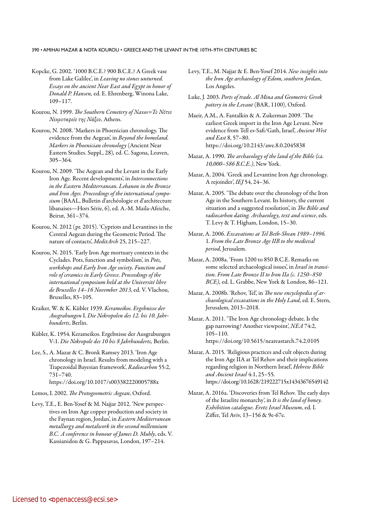- Kopcke, G. 2002. '1000 B.C.E.? 900 B.C.E.? A Greek vase from Lake Galilee', in *Leaving no stones unturned. Essays on the ancient Near East and Egypt in honor of Donald P. Hansen,* ed. E. Ehrenberg, Winona Lake, 109–117.
- Kourou, N. 1999. *The Southern Cemetery of Naxos=Το Νότιο Νεκροταφείο της Νάξου*, Athens.
- Kourou, N. 2008. 'Markers in Phoenician chronology. The evidence from the Aegean', in *Beyond the homeland. Markers in Phoenician chronology* (Ancient Near Eastern Studies. Suppl., 28)*,* ed. C. Sagona, Leuven, 305–364.
- Kourou, N. 2009. 'The Aegean and the Levant in the Early Iron Age. Recent developments', in *Interconnections in the Eastern Mediterranean. Lebanon in the Bronze and Iron Ages. Proceedings of the international symposium* (BAAL, Bulletin d'archéologie et d'architecture libanaises—Hors Série, 6), ed. A.-M. Maila-Afeiche, Beirut, 361–374.
- Kourou, N. 2012 (pr. 2015). 'Cypriots and Levantines in the Central Aegean during the Geometric Period. The nature of contacts', *MeditArch* 25, 215–227.
- Kourou, N. 2015. 'Early Iron Age mortuary contexts in the Cyclades. Pots, function and symbolism', in *Pots, workshops and Early Iron Age society. Function and role of ceramics in Early Greece. Proceedings of the international symposium held at the Université libre de Bruxelles 14–16 November 2013*, ed. V. Vlachou, Bruxelles, 83–105.
- Kraiker, W. & K. Kübler 1939. *Kerameikos. Ergebnisse der Ausgrabungen* I. *Die Nekropolen des 12. bis 10. Jahrhunderts*, Berlin.
- Kübler, K. 1954. Kerameikos. Ergebnisse der Ausgrabungen V:1. *Die Nekropole des 10 bis 8 Jahrhunderts,* Berlin.
- Lee, S., A. Mazar & C. Bronk Ramsey 2013. 'Iron Age chronology in Israel. Results from modeling with a Trapezoidal Bayesian framework', *Radiocarbon* 55:2, 731–740. <https://doi.org/10.1017/s003382220005788x>
- Lemos, I. 2002. *The Protogeometric Aegean*, Oxford.
- Levy, T.E., E. Ben-Yosef & M. Najjar 2012. 'New perspectives on Iron Age copper production and society in the Faynan region, Jordan', in *Eastern Mediterranean metallurgy and metalwork in the second millennium B.C. A conference in honour of James D. Muhly*, eds. V. Kassianidou & G. Pappasavas, London, 197–214.
- Levy, T.E., M. Najjar & E. Ben-Yosef 2014. *New insights into the Iron Age archaeology of Edom, southern Jordan*, Los Angeles.
- Luke, J. 2003. *Ports of trade. Al Mina and Geometric Greek pottery in the Levant* (BAR, 1100), Oxford.
- Maeir, A.M., A. Fantalkin & A. Zukerman 2009. 'The earliest Greek import in the Iron Age Levant. New evidence from Tell es-Safi/Gath, Israel', *Ancient West and East* 8, 57–80. <https://doi.org/10.2143/awe.8.0.2045838>
- Mazar, A. 1990. *The archaeology of the land of the Bible (ca. 10,000–586 B.C.E.)*, New York.
- Mazar, A. 2004. 'Greek and Levantine Iron Age chronology. A rejoinder', *IEJ* 54, 24–36.
- Mazar, A. 2005. 'The debate over the chronology of the Iron Age in the Southern Levant. Its history, the current situation and a suggested resolution', in *The Bible and radiocarbon dating. Archaeology, text and science*, eds. T. Levy & T. Higham, London, 15–30.
- Mazar, A. 2006. *Excavations at Tel Beth-Shean 1989–1996.*  1*. From the Late Bronze Age IIB to the medieval period*, Jerusalem.
- Mazar, A. 2008a. 'From 1200 to 850 B.C.E. Remarks on some selected archaeological issues', in *Israel in transition. From Late Bronze II to Iron IIa (c. 1250–850 BCE),* ed. L. Grabbe, New York & London, 86–121.
- Mazar, A. 2008b. 'Rehov, Tel', in *The new encyclopedia of archaeological excavations in the Holy Land*, ed. E. Stern, Jerusalem, 2013–2018.
- Mazar, A. 2011. 'The Iron Age chronology debate. Is the gap narrowing? Another viewpoint', *NEA* 74:2, 105–110. <https://doi.org/10.5615/neareastarch.74.2.0105>
- Mazar, A. 2015. 'Religious practices and cult objects during the Iron Age IIA at Tel Rehov and their implications regarding religion in Northern Israel', *Hebrew Bible and Ancient Israel* 4:1, 25–55. <https://doi.org/10.1628/219222715x14343676549142>
- Mazar, A. 2016a. 'Discoveries from Tel Rehov. The early days of the Israelite monarchy', in *It is the land of honey. Exhibition catalogue. Eretz Israel Museum*, ed. I. Ziffer, Tel Aviv, 13–156 & 9e-67e.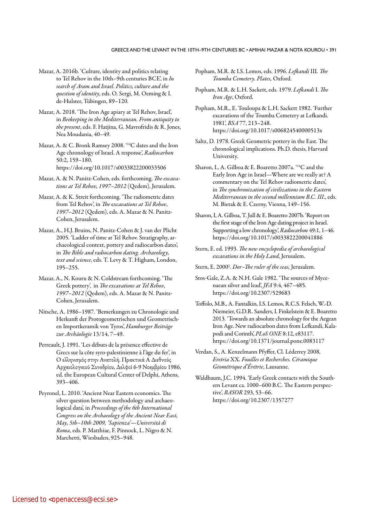- Mazar, A. 2016b. 'Culture, identity and politics relating to Tel Rehov in the 10th–9th centuries BCE', in *In search of Aram and Israel. Politics, culture and the question of identity*, eds. O. Sergi, M. Oeming & I. de-Hulster, Tübingen, 89–120.
- Mazar, A. 2018. 'The Iron Age apiary at Tel Rehov, Israel', in *Beekeeping in the Mediterranean. From antiquity to the present*, eds. F. Hatjina, G. Mavrofridis & R. Jones, Nea Moudania, 40–49.
- Mazar, A. & C. Bronk Ramsey 2008. '14C dates and the Iron Age chronology of Israel. A response', *Radiocarbon* 50:2, 159–180. <https://doi.org/10.1017/s0033822200033506>
- Mazar, A. & N. Panitz-Cohen, eds. forthcoming. *The excavations at Tel Rehov, 1997–2012* (Qedem), Jerusalem.
- Mazar, A. & K. Streit forthcoming. 'The radiometric dates from Tel Rehov', in *The* e*xcavations at Tel Rehov*, *1997–2012* (Qedem), eds. A. Mazar & N. Panitz-Cohen, Jerusalem.
- Mazar, A., H.J. Bruins, N. Panitz-Cohen & J. van der Plicht 2005. 'Ladder of time at Tel Rehov. Stratigraphy, archaeological context, pottery and radiocarbon dates', in *The Bible and radiocarbon dating. Archaeology, text and science*, eds. T. Levy & T. Higham, London, 195–255.
- Mazar, A., N. Kouru & N. Coldstream forthcoming. 'The Greek pottery', in *The excavations at Tel Rehov*, *1997–2012* (Qedem), eds. A. Mazar & N. Panitz-Cohen, Jerusalem.
- Nitsche, A. 1986–1987. 'Bemerkungen zu Chronologie und Herkunft der Protogeometrischen und Geometrischen Importkeramik von Tyros', *Hamburger Beiträge zur Archäologie* 13/14, 7–49.
- Perreault, J. 1991. 'Les débuts de la présence effective de Grecs sur la côte syro-palestinienne à l'âge du fer', in O ελληνισμός στην Ανατολή. Πρακτικά Α Διεθνούς Αρχαιολογικού Συνεδρίου, Δελφοί 6-9 Νοεμβρίου 1986, ed. the European Cultural Center of Delphi, Athens, 393–406.
- Peyronel, L. 2010. 'Ancient Near Eastern economics. The silver question between methodology and archaeological data', in *Proceedings of the 6th International Congress on the Archaeology of the Ancient Near East, May, 5th–10th 2009, 'Sapienza'*—*Università di Roma*, eds. P. Matthiae, F. Pinnock, L. Nigro & N. Marchetti, Wiesbaden, 925–948.
- Popham, M.R. & I.S. Lemos, eds. 1996. *Lefkandi* III*. The Toumba Cemetery. Plates,* Oxford.
- Popham, M.R. & L.H. Sackett, eds. 1979. *Lefkandi* I. *The Iron Age*, Oxford.
- Popham, M.R., E. Touloupa & L.H. Sackett 1982. 'Further excavations of the Toumba Cemetery at Lefkandi. 1981', *BSA* 77, 213–248. <https://doi.org/10.1017/s006824540000513x>
- Saltz, D. 1978. Greek Geometric pottery in the East. The chronological implications. Ph.D. thesis, Harvard University.
- Sharon, I., A. Gilboa & E. Boaretto 2007a. '<sup>14</sup>C and the Early Iron Age in Israel—Where are we really at? A commentary on the Tel Rehov radiometric dates', in *The synchronization of civilizations in the Eastern Mediterranean in the second millennium B.C. III*., eds. M. Bietak & E. Czerny, Vienna, 149–156.
- Sharon, I, A. Gilboa, T. Jull & E. Boaretto 2007b. 'Report on the first stage of the Iron Age dating project in Israel. Supporting a low chronology', *Radiocarbon* 49:1, 1–46. <https://doi.org/10.1017/s0033822200041886>
- Stern, E. ed. 1993. *The new encyclopedia of archaeological excavations in the Holy Land*, Jerusalem.
- Stern, E. 20002 . *Dor–The ruler of the seas,* Jerusalem.
- Stos-Gale, Z.A. & N.H. Gale 1982. 'The sources of Mycenaean silver and lead', *JFA* 9:4, 467–485. <https://doi.org/10.2307/529683>
- Toffolo, M.B., A. Fantalkin, I.S. Lemos, R.C.S. Felsch, W.-D. Niemeier, G.D.R. Sanders, I. Finkelstein & E. Boaretto 2013. 'Towards an absolute chronology for the Aegean Iron Age. New radiocarbon dates from Lefkandi, Kalapodi and Corinth', *PLoS ONE* 8:12, e83117. <https://doi.org/10.1371/journal.pone.0083117>
- Verdan, S., A. Kenzelmann Pfyffer, Cl. Léderrey 2008, *Eretria* XX*. Fouilles et Recherches. Céramique Géométrique d'Érétrie*, Lausanne.
- Waldbaum, J.C. 1994. 'Early Greek contacts with the Southern Levant ca. 1000–600 B.C. The Eastern perspective', *BASOR* 293, 53–66. <https://doi.org/10.2307/1357277>